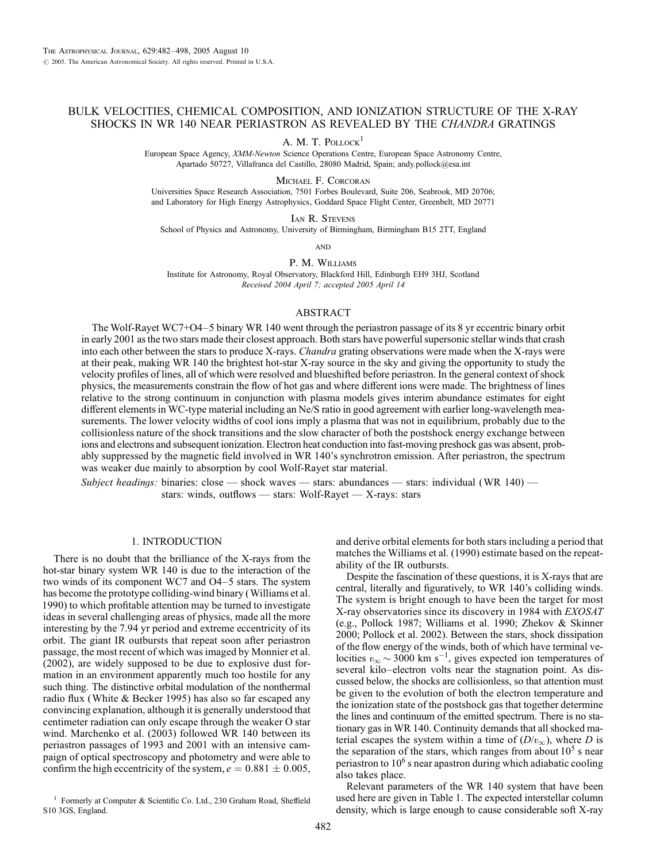# BULK VELOCITIES, CHEMICAL COMPOSITION, AND IONIZATION STRUCTURE OF THE X-RAY SHOCKS IN WR 140 NEAR PERIASTRON AS REVEALED BY THE CHANDRA GRATINGS

A. M. T. POLLOCK<sup>1</sup>

European Space Agency, XMM-Newton Science Operations Centre, European Space Astronomy Centre, Apartado 50727, Villafranca del Castillo, 28080 Madrid, Spain; andy.pollock@esa.int

Michael F. Corcoran

Universities Space Research Association, 7501 Forbes Boulevard, Suite 206, Seabrook, MD 20706; and Laboratory for High Energy Astrophysics, Goddard Space Flight Center, Greenbelt, MD 20771

IAN R. STEVENS

School of Physics and Astronomy, University of Birmingham, Birmingham B15 2TT, England

**AND** 

P. M. Williams

Institute for Astronomy, Royal Observatory, Blackford Hill, Edinburgh EH9 3HJ, Scotland Received 2004 April 7; accepted 2005 April 14

#### ABSTRACT

The Wolf-Rayet WC7+O4–5 binary WR 140 went through the periastron passage of its 8 yr eccentric binary orbit in early 2001 as the two stars made their closest approach. Both stars have powerful supersonic stellar winds that crash into each other between the stars to produce X-rays. Chandra grating observations were made when the X-rays were at their peak, making WR 140 the brightest hot-star X-ray source in the sky and giving the opportunity to study the velocity profiles of lines, all of which were resolved and blueshifted before periastron. In the general context of shock physics, the measurements constrain the flow of hot gas and where different ions were made. The brightness of lines relative to the strong continuum in conjunction with plasma models gives interim abundance estimates for eight different elements in WC-type material including an Ne/S ratio in good agreement with earlier long-wavelength measurements. The lower velocity widths of cool ions imply a plasma that was not in equilibrium, probably due to the collisionless nature of the shock transitions and the slow character of both the postshock energy exchange between ions and electrons and subsequent ionization. Electron heat conduction into fast-moving preshock gas was absent, probably suppressed by the magnetic field involved in WR 140's synchrotron emission. After periastron, the spectrum was weaker due mainly to absorption by cool Wolf-Rayet star material.

Subject headings: binaries: close — shock waves — stars: abundances — stars: individual (WR 140) stars: winds, outflows — stars: Wolf-Rayet — X-rays: stars

# 1. INTRODUCTION

There is no doubt that the brilliance of the X-rays from the hot-star binary system WR 140 is due to the interaction of the two winds of its component WC7 and O4–5 stars. The system has become the prototype colliding-wind binary (Williams et al. 1990) to which profitable attention may be turned to investigate ideas in several challenging areas of physics, made all the more interesting by the 7.94 yr period and extreme eccentricity of its orbit. The giant IR outbursts that repeat soon after periastron passage, the most recent of which was imaged by Monnier et al. (2002), are widely supposed to be due to explosive dust formation in an environment apparently much too hostile for any such thing. The distinctive orbital modulation of the nonthermal radio flux (White & Becker 1995) has also so far escaped any convincing explanation, although it is generally understood that centimeter radiation can only escape through the weaker O star wind. Marchenko et al. (2003) followed WR 140 between its periastron passages of 1993 and 2001 with an intensive campaign of optical spectroscopy and photometry and were able to confirm the high eccentricity of the system,  $e = 0.881 \pm 0.005$ ,

<sup>1</sup> Formerly at Computer & Scientific Co. Ltd., 230 Graham Road, Sheffield S10 3GS, England.

and derive orbital elements for both stars including a period that matches the Williams et al. (1990) estimate based on the repeatability of the IR outbursts.

Despite the fascination of these questions, it is X-rays that are central, literally and figuratively, to WR 140's colliding winds. The system is bright enough to have been the target for most X-ray observatories since its discovery in 1984 with EXOSAT (e.g., Pollock 1987; Williams et al. 1990; Zhekov & Skinner 2000; Pollock et al. 2002). Between the stars, shock dissipation of the flow energy of the winds, both of which have terminal velocities  $v_{\infty} \sim 3000 \text{ km s}^{-1}$ , gives expected ion temperatures of several kilo–electron volts near the stagnation point. As discussed below, the shocks are collisionless, so that attention must be given to the evolution of both the electron temperature and the ionization state of the postshock gas that together determine the lines and continuum of the emitted spectrum. There is no stationary gas in WR 140. Continuity demands that all shocked material escapes the system within a time of  $(D/v_{\infty})$ , where D is the separation of the stars, which ranges from about  $10<sup>5</sup>$  s near periastron to  $10<sup>6</sup>$  s near apastron during which adiabatic cooling also takes place.

Relevant parameters of the WR 140 system that have been used here are given in Table 1. The expected interstellar column density, which is large enough to cause considerable soft X-ray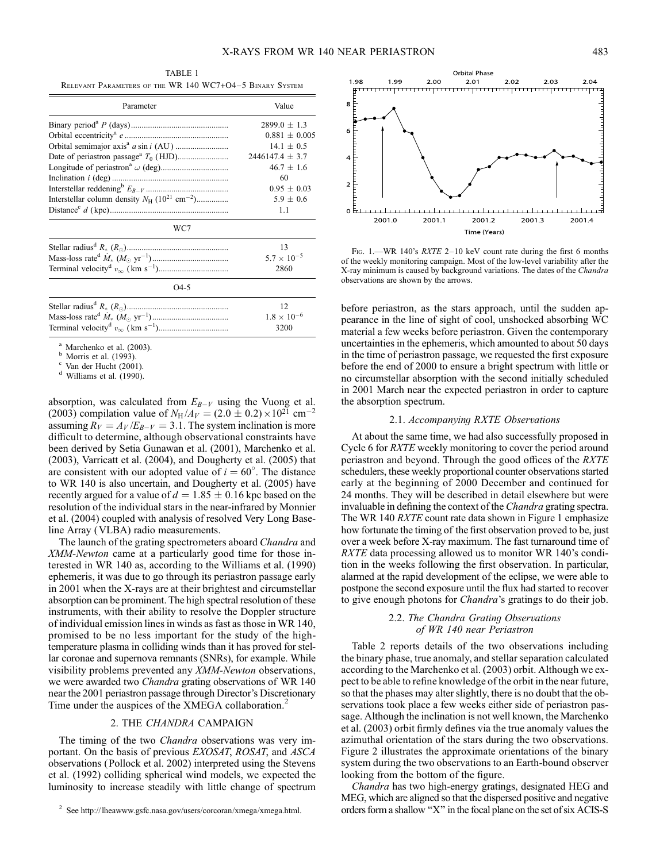TABLE 1 Relevant Parameters of the WR 140 WC7+O4–5 Binary System

| Parameter                                                              | Value                |
|------------------------------------------------------------------------|----------------------|
|                                                                        | $2899.0 + 1.3$       |
|                                                                        | $0.881 \pm 0.005$    |
|                                                                        | $14.1 \pm 0.5$       |
|                                                                        | $2446147.4 \pm 3.7$  |
|                                                                        | $46.7 \pm 1.6$       |
|                                                                        | 60                   |
|                                                                        | $0.95 + 0.03$        |
| Interstellar column density $N_H$ (10 <sup>21</sup> cm <sup>-2</sup> ) | $5.9 \pm 0.6$        |
|                                                                        | 1.1                  |
| WC7                                                                    |                      |
|                                                                        | 13                   |
|                                                                        | $5.7 \times 10^{-5}$ |
|                                                                        | 2860                 |
| O4-5                                                                   |                      |

| $1.8 \times 10^{-6}$ |
|----------------------|
| 3200                 |

<sup>a</sup> Marchenko et al. (2003).<br><sup>b</sup> Morris et al. (1993).<br><sup>c</sup> Van der Hucht (2001).<br><sup>d</sup> Williams et al. (1990).

absorption, was calculated from  $E_{B-V}$  using the Vuong et al. (2003) compilation value of  $N_H / A_V = (2.0 \pm 0.2) \times 10^{21}$  cm<sup>-2</sup> assuming  $R_V = A_V / E_{B-V} = 3.1$ . The system inclination is more difficult to determine, although observational constraints have been derived by Setia Gunawan et al. (2001), Marchenko et al. (2003), Varricatt et al. (2004), and Dougherty et al. (2005) that are consistent with our adopted value of  $i = 60^{\circ}$ . The distance to WR 140 is also uncertain, and Dougherty et al. (2005) have recently argued for a value of  $d = 1.85 \pm 0.16$  kpc based on the resolution of the individual stars in the near-infrared by Monnier et al. (2004) coupled with analysis of resolved Very Long Baseline Array (VLBA) radio measurements.

The launch of the grating spectrometers aboard Chandra and XMM-Newton came at a particularly good time for those interested in WR 140 as, according to the Williams et al. (1990) ephemeris, it was due to go through its periastron passage early in 2001 when the X-rays are at their brightest and circumstellar absorption can be prominent. The high spectral resolution of these instruments, with their ability to resolve the Doppler structure of individual emission lines in winds as fast as those in WR 140, promised to be no less important for the study of the hightemperature plasma in colliding winds than it has proved for stellar coronae and supernova remnants (SNRs), for example. While visibility problems prevented any XMM-Newton observations, we were awarded two Chandra grating observations of WR 140 near the 2001 periastron passage through Director's Discretionary Time under the auspices of the XMEGA collaboration.<sup>2</sup>

### 2. THE CHANDRA CAMPAIGN

The timing of the two *Chandra* observations was very important. On the basis of previous EXOSAT, ROSAT, and ASCA observations (Pollock et al. 2002) interpreted using the Stevens et al. (1992) colliding spherical wind models, we expected the luminosity to increase steadily with little change of spectrum



FIG. 1.—WR 140's RXTE 2-10 keV count rate during the first 6 months of the weekly monitoring campaign. Most of the low-level variability after the X-ray minimum is caused by background variations. The dates of the Chandra observations are shown by the arrows.

before periastron, as the stars approach, until the sudden appearance in the line of sight of cool, unshocked absorbing WC material a few weeks before periastron. Given the contemporary uncertainties in the ephemeris, which amounted to about 50 days in the time of periastron passage, we requested the first exposure before the end of 2000 to ensure a bright spectrum with little or no circumstellar absorption with the second initially scheduled in 2001 March near the expected periastron in order to capture the absorption spectrum.

#### 2.1. Accompanying RXTE Observations

At about the same time, we had also successfully proposed in Cycle 6 for RXTE weekly monitoring to cover the period around periastron and beyond. Through the good offices of the RXTE schedulers, these weekly proportional counter observations started early at the beginning of 2000 December and continued for 24 months. They will be described in detail elsewhere but were invaluable in defining the context of the *Chandra* grating spectra. The WR 140 *RXTE* count rate data shown in Figure 1 emphasize how fortunate the timing of the first observation proved to be, just over a week before X-ray maximum. The fast turnaround time of RXTE data processing allowed us to monitor WR 140's condition in the weeks following the first observation. In particular, alarmed at the rapid development of the eclipse, we were able to postpone the second exposure until the flux had started to recover to give enough photons for Chandra's gratings to do their job.

# 2.2. The Chandra Grating Observations of WR 140 near Periastron

Table 2 reports details of the two observations including the binary phase, true anomaly, and stellar separation calculated according to the Marchenko et al. (2003) orbit. Although we expect to be able to refine knowledge of the orbit in the near future, so that the phases may alter slightly, there is no doubt that the observations took place a few weeks either side of periastron passage. Although the inclination is not well known, the Marchenko et al. (2003) orbit firmly defines via the true anomaly values the azimuthal orientation of the stars during the two observations. Figure 2 illustrates the approximate orientations of the binary system during the two observations to an Earth-bound observer looking from the bottom of the figure.

Chandra has two high-energy gratings, designated HEG and MEG, which are aligned so that the dispersed positive and negative orders form a shallow ''X'' in the focal plane on the set of six ACIS-S

<sup>2</sup> See http://lheawww.gsfc.nasa.gov/users/corcoran/xmega/xmega.html.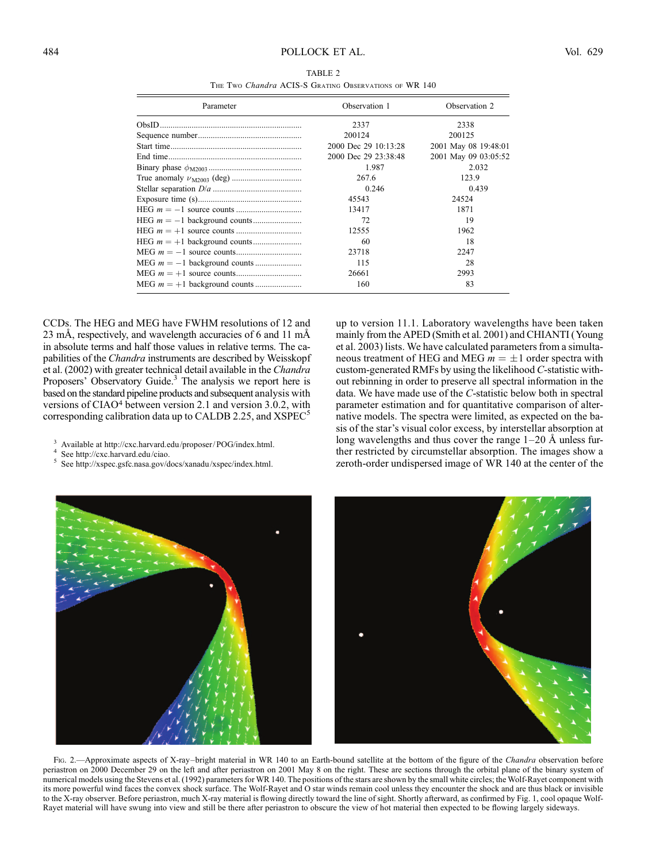| TABLE 2                                               |  |  |  |  |
|-------------------------------------------------------|--|--|--|--|
| THE TWO Chandra ACIS-S GRATING OBSERVATIONS OF WR 140 |  |  |  |  |

| Parameter | Observation 1        | Observation 2        |
|-----------|----------------------|----------------------|
|           | 2337                 | 2338                 |
|           | 200124               | 200125               |
|           | 2000 Dec 29 10:13:28 | 2001 May 08 19:48:01 |
|           | 2000 Dec 29 23:38:48 | 2001 May 09 03:05:52 |
|           | 1.987                | 2.032                |
|           | 267.6                | 123.9                |
|           | 0.246                | 0.439                |
|           | 45543                | 24524                |
|           | 13417                | 1871                 |
|           | 72                   | 19                   |
|           | 12555                | 1962                 |
|           | 60                   | 18                   |
|           | 23718                | 2247                 |
|           | 115                  | 28                   |
|           | 26661                | 2993                 |
|           | 160                  | 83                   |

CCDs. The HEG and MEG have FWHM resolutions of 12 and 23 mÅ, respectively, and wavelength accuracies of 6 and 11 mÅ in absolute terms and half those values in relative terms. The capabilities of the *Chandra* instruments are described by Weisskopf et al. (2002) with greater technical detail available in the Chandra Proposers' Observatory Guide.<sup>3</sup> The analysis we report here is based on the standard pipeline products and subsequent analysis with versions of CIAO<sup>4</sup> between version 2.1 and version 3.0.2, with corresponding calibration data up to CALDB 2.25, and  $XSPEC<sup>5</sup>$ 

- <sup>3</sup> Available at http://cxc.harvard.edu/proposer/ POG/index.html.<br><sup>4</sup> See http://cxc.harvard.edu/ciao.<br><sup>5</sup> See http://xspec.gsfc.nasa.gov/docs/xanadu/xspec/index.html.
- 
- 

up to version 11.1. Laboratory wavelengths have been taken mainly from the APED (Smith et al. 2001) and CHIANTI (Young et al. 2003) lists. We have calculated parameters from a simultaneous treatment of HEG and MEG  $m = \pm 1$  order spectra with custom-generated RMFs by using the likelihood C-statistic without rebinning in order to preserve all spectral information in the data. We have made use of the C-statistic below both in spectral parameter estimation and for quantitative comparison of alternative models. The spectra were limited, as expected on the basis of the star's visual color excess, by interstellar absorption at long wavelengths and thus cover the range  $1-20$  Å unless further restricted by circumstellar absorption. The images show a zeroth-order undispersed image of WR 140 at the center of the



Fig. 2.—Approximate aspects of X-ray–bright material in WR 140 to an Earth-bound satellite at the bottom of the figure of the Chandra observation before periastron on 2000 December 29 on the left and after periastron on 2001 May 8 on the right. These are sections through the orbital plane of the binary system of numerical models using the Stevens et al. (1992) parameters for WR 140. The positions of the stars are shown by the small white circles; the Wolf-Rayet component with its more powerful wind faces the convex shock surface. The Wolf-Rayet and O star winds remain cool unless they encounter the shock and are thus black or invisible to the X-ray observer. Before periastron, much X-ray material is flowing directly toward the line of sight. Shortly afterward, as confirmed by Fig. 1, cool opaque Wolf-Rayet material will have swung into view and still be there after periastron to obscure the view of hot material then expected to be flowing largely sideways.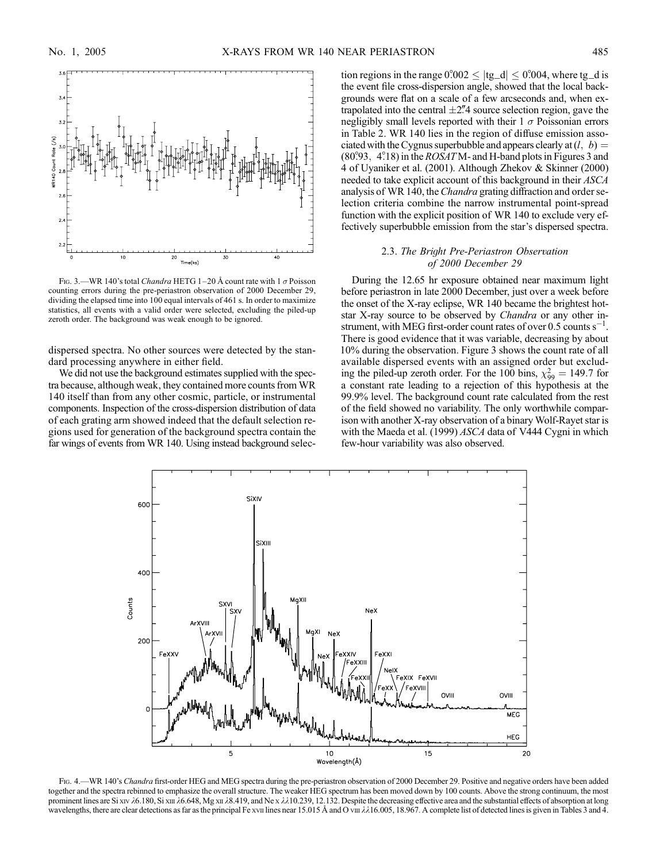

FIG. 3.—WR 140's total *Chandra* HETG 1-20 Å count rate with 1  $\sigma$  Poisson counting errors during the pre-periastron observation of 2000 December 29, dividing the elapsed time into 100 equal intervals of 461 s. In order to maximize statistics, all events with a valid order were selected, excluding the piled-up zeroth order. The background was weak enough to be ignored.

dispersed spectra. No other sources were detected by the standard processing anywhere in either field.

We did not use the background estimates supplied with the spectra because, although weak, they contained more counts from WR 140 itself than from any other cosmic, particle, or instrumental components. Inspection of the cross-dispersion distribution of data of each grating arm showed indeed that the default selection regions used for generation of the background spectra contain the far wings of events from WR 140. Using instead background selection regions in the range  $0^{\circ}002 \leq |tg_d| \leq 0^{\circ}004$ , where tg\_d is the event file cross-dispersion angle, showed that the local backgrounds were flat on a scale of a few arcseconds and, when extrapolated into the central  $\pm$ 2.<sup>*n*</sup>4 source selection region, gave the negligibly small levels reported with their  $1 \sigma$  Poissonian errors in Table 2. WR 140 lies in the region of diffuse emission associated with the Cygnus superbubble and appears clearly at  $(l, b)$  =  $(80°93, 4°18)$  in the *ROSAT* M- and H-band plots in Figures 3 and 4 of Uyaniker et al. (2001). Although Zhekov & Skinner (2000) needed to take explicit account of this background in their ASCA analysis of WR 140, the *Chandra* grating diffraction and order selection criteria combine the narrow instrumental point-spread function with the explicit position of WR 140 to exclude very effectively superbubble emission from the star's dispersed spectra.

# 2.3. The Bright Pre-Periastron Observation of 2000 December 29

During the 12.65 hr exposure obtained near maximum light before periastron in late 2000 December, just over a week before the onset of the X-ray eclipse, WR 140 became the brightest hotstar X-ray source to be observed by Chandra or any other instrument, with MEG first-order count rates of over  $0.5$  counts  $s^{-1}$ . There is good evidence that it was variable, decreasing by about 10% during the observation. Figure 3 shows the count rate of all available dispersed events with an assigned order but excluding the piled-up zeroth order. For the 100 bins,  $\chi_{99}^2 = 149.7$  for a constant rate leading to a rejection of this hypothesis at the 99.9% level. The background count rate calculated from the rest of the field showed no variability. The only worthwhile comparison with another X-ray observation of a binary Wolf-Rayet star is with the Maeda et al. (1999) ASCA data of V444 Cygni in which few-hour variability was also observed.



FIG. 4.—WR 140's Chandra first-order HEG and MEG spectra during the pre-periastron observation of 2000 December 29. Positive and negative orders have been added together and the spectra rebinned to emphasize the overall structure. The weaker HEG spectrum has been moved down by 100 counts. Above the strong continuum, the most prominent lines are Si xiv  $\lambda$ 6.180, Si xii  $\lambda$ 6.648, Mg xii  $\lambda$ 8.419, and Ne x  $\lambda\lambda$ 10.239, 12.132. Despite the decreasing effective area and the substantial effects of absorption at long wavelengths, there are clear detections as far as the principal Fe xvii lines near 15.015 Å and O viii  $\lambda$ 16.005, 18.967. A complete list of detected lines is given in Tables 3 and 4.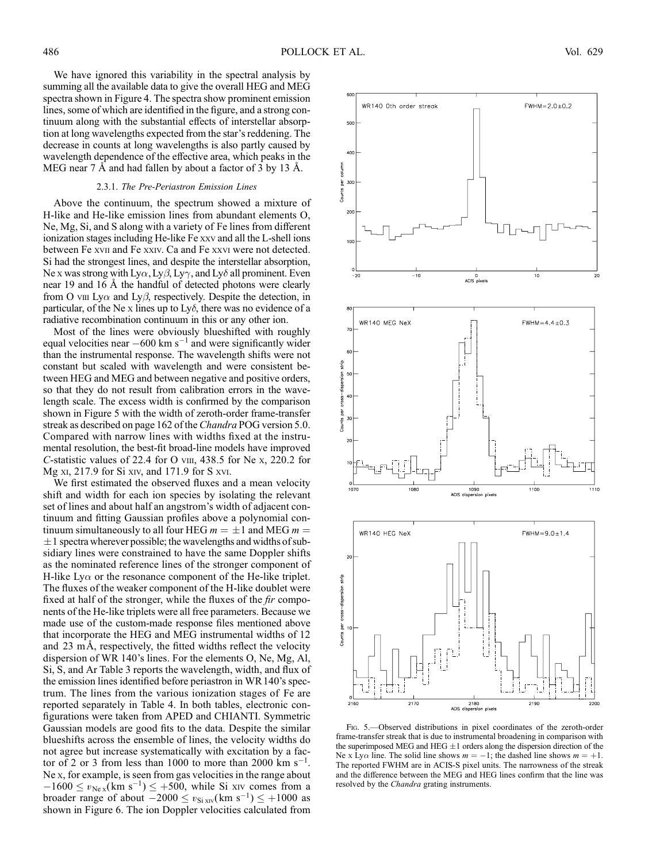We have ignored this variability in the spectral analysis by summing all the available data to give the overall HEG and MEG spectra shown in Figure 4. The spectra show prominent emission lines, some of which are identified in the figure, and a strong continuum along with the substantial effects of interstellar absorption at long wavelengths expected from the star's reddening. The decrease in counts at long wavelengths is also partly caused by wavelength dependence of the effective area, which peaks in the MEG near 7 A and had fallen by about a factor of 3 by 13 A.

### 2.3.1. The Pre-Periastron Emission Lines

Above the continuum, the spectrum showed a mixture of H-like and He-like emission lines from abundant elements O, Ne, Mg, Si, and S along with a variety of Fe lines from different ionization stages including He-like Fe xxv and all the L-shell ions between Fe xvii and Fe xxiv. Ca and Fe xxvi were not detected. Si had the strongest lines, and despite the interstellar absorption, Ne x was strong with  $Ly\alpha$ ,  $Ly\beta$ ,  $Ly\gamma$ , and  $Ly\delta$  all prominent. Even near 19 and 16  $\AA$  the handful of detected photons were clearly from O viii Ly $\alpha$  and Ly $\beta$ , respectively. Despite the detection, in particular, of the Ne x lines up to Ly $\delta$ , there was no evidence of a radiative recombination continuum in this or any other ion.

Most of the lines were obviously blueshifted with roughly equal velocities near  $-600 \text{ km s}^{-1}$  and were significantly wider than the instrumental response. The wavelength shifts were not constant but scaled with wavelength and were consistent between HEG and MEG and between negative and positive orders, so that they do not result from calibration errors in the wavelength scale. The excess width is confirmed by the comparison shown in Figure 5 with the width of zeroth-order frame-transfer streak as described on page 162 of the *Chandra* POG version 5.0. Compared with narrow lines with widths fixed at the instrumental resolution, the best-fit broad-line models have improved C-statistic values of 22.4 for O viii,  $438.5$  for Ne x, 220.2 for Mg xi, 217.9 for Si xiv, and 171.9 for S xvi.

We first estimated the observed fluxes and a mean velocity shift and width for each ion species by isolating the relevant set of lines and about half an angstrom's width of adjacent continuum and fitting Gaussian profiles above a polynomial continuum simultaneously to all four HEG  $m = \pm 1$  and MEG  $m =$  $\pm 1$  spectra wherever possible; the wavelengths and widths of subsidiary lines were constrained to have the same Doppler shifts as the nominated reference lines of the stronger component of H-like Ly $\alpha$  or the resonance component of the He-like triplet. The fluxes of the weaker component of the H-like doublet were fixed at half of the stronger, while the fluxes of the *fir* components of the He-like triplets were all free parameters. Because we made use of the custom-made response files mentioned above that incorporate the HEG and MEG instrumental widths of 12 and  $23 \text{ mA}$ , respectively, the fitted widths reflect the velocity dispersion of WR 140's lines. For the elements O, Ne, Mg, Al, Si, S, and Ar Table 3 reports the wavelength, width, and flux of the emission lines identified before periastron in WR 140's spectrum. The lines from the various ionization stages of Fe are reported separately in Table 4. In both tables, electronic configurations were taken from APED and CHIANTI. Symmetric Gaussian models are good fits to the data. Despite the similar blueshifts across the ensemble of lines, the velocity widths do not agree but increase systematically with excitation by a factor of 2 or 3 from less than 1000 to more than 2000 km  $s^{-1}$ . Ne x, for example, is seen from gas velocities in the range about  $-1600 \le v_{\text{Ne }x}(\text{km } s^{-1}) \le +500$ , while Si xiv comes from a broader range of about  $-2000 \le v_{\text{Si XIV}}(\text{km s}^{-1}) \le +1000$  as shown in Figure 6. The ion Doppler velocities calculated from



Fig. 5.—Observed distributions in pixel coordinates of the zeroth-order frame-transfer streak that is due to instrumental broadening in comparison with the superimposed MEG and HEG  $\pm 1$  orders along the dispersion direction of the Ne x Ly $\alpha$  line. The solid line shows  $m = -1$ ; the dashed line shows  $m = +1$ . The reported FWHM are in ACIS-S pixel units. The narrowness of the streak and the difference between the MEG and HEG lines confirm that the line was resolved by the Chandra grating instruments.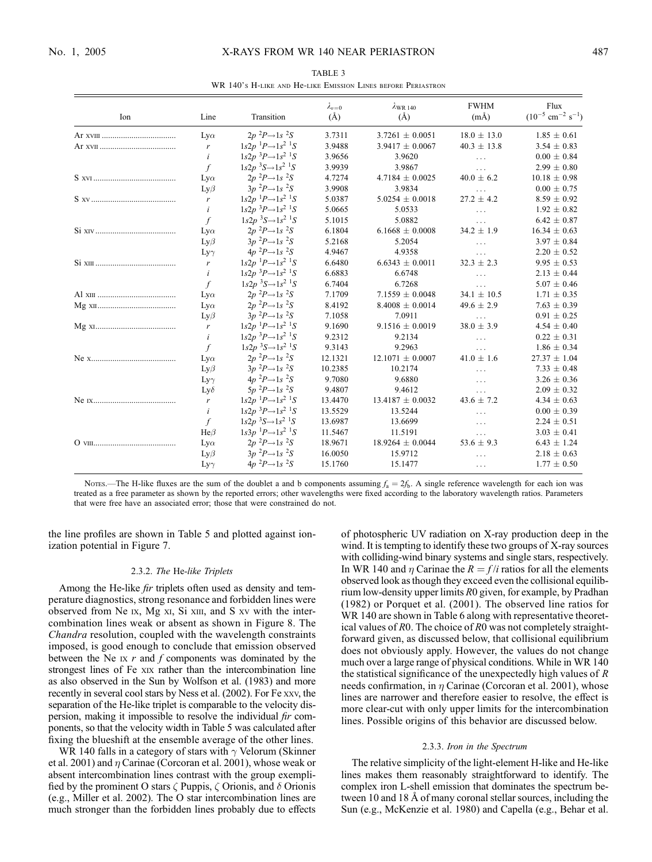| Ion | Line             | Transition                                                           | $\lambda_{v=0}$<br>$(\AA)$ | $\lambda$ WR 140<br>(A) | <b>FWHM</b><br>$(m\AA)$ | Flux<br>$(10^{-5}$ cm <sup>-2</sup> s <sup>-1</sup> ) |
|-----|------------------|----------------------------------------------------------------------|----------------------------|-------------------------|-------------------------|-------------------------------------------------------|
|     | $Ly\alpha$       | $2p^{2}P\rightarrow1s^{2}S$                                          | 3.7311                     | $3.7261 \pm 0.0051$     | $18.0 \pm 13.0$         | $1.85 \pm 0.61$                                       |
|     | $\mathbf{r}$     | $1s2p$ <sup>1</sup> $P\rightarrow 1s^2$ <sup>1</sup> S               | 3.9488                     | $3.9417 \pm 0.0067$     | $40.3 \pm 13.8$         | $3.54 \pm 0.83$                                       |
|     | $\dot{i}$        | $1s2p$ <sup>3</sup> $P\rightarrow 1s^2$ <sup>1</sup> S               | 3.9656                     | 3.9620                  | $\cdots$                | $0.00 \pm 0.84$                                       |
|     | $\int$           | $1s2p$ <sup>3</sup> S $\rightarrow$ $1s$ <sup>2</sup> <sup>1</sup> S | 3.9939                     | 3.9867                  | $\cdots$                | $2.99 \pm 0.80$                                       |
|     | $Ly\alpha$       | $2p^{2}P \rightarrow 1s^{2}S$                                        | 4.7274                     | $4.7184 \pm 0.0025$     | $40.0 \pm 6.2$          | $10.18 \pm 0.98$                                      |
|     | $Ly\beta$        | $3p^{2}P \rightarrow 1s^{2}S$                                        | 3.9908                     | 3.9834                  | $\cdots$                | $0.00 \pm 0.75$                                       |
|     | $\boldsymbol{r}$ | $1s2p$ <sup>1</sup> $P\rightarrow 1s^2$ <sup>1</sup> S               | 5.0387                     | $5.0254 \pm 0.0018$     | $27.2 \pm 4.2$          | $8.59 \pm 0.92$                                       |
|     | i                | $1s2p$ <sup>3</sup> $P\rightarrow 1s$ <sup>2</sup> <sup>1</sup> S    | 5.0665                     | 5.0533                  | $\cdots$                | $1.92 \pm 0.82$                                       |
|     | $\int$           | $1s2p$ <sup>3</sup> S $\rightarrow$ $1s^2$ <sup>1</sup> S            | 5.1015                     | 5.0882                  | $\cdots$                | $6.42 \pm 0.87$                                       |
|     | $Ly\alpha$       | $2p^{2}P\rightarrow 1s^{2}S$                                         | 6.1804                     | $6.1668 \pm 0.0008$     | $34.2 \pm 1.9$          | $16.34 \pm 0.63$                                      |
|     | $Ly\beta$        | $3p^{2}P \rightarrow 1s^{2}S$                                        | 5.2168                     | 5.2054                  | $\cdots$                | $3.97 \pm 0.84$                                       |
|     | $Ly\gamma$       | $4p^{2}P \rightarrow 1s^{2}S$                                        | 4.9467                     | 4.9358                  | $\cdots$                | $2.20 \pm 0.52$                                       |
|     | $\mathbf{r}$     | $1s2p$ <sup>1</sup> $P\rightarrow 1s^2$ <sup>1</sup> S               | 6.6480                     | $6.6343 \pm 0.0011$     | $32.3 \pm 2.3$          | $9.95 \pm 0.53$                                       |
|     | $\dot{i}$        | $1s2p$ <sup>3</sup> $P\rightarrow 1s^2$ <sup>1</sup> S               | 6.6883                     | 6.6748                  | $\cdots$                | $2.13 \pm 0.44$                                       |
|     | $\int$           | $1s2p$ <sup>3</sup> S $\rightarrow$ $1s$ <sup>2</sup> <sup>1</sup> S | 6.7404                     | 6.7268                  | $\cdots$                | $5.07 \pm 0.46$                                       |
|     | $Ly\alpha$       | $2p^{2}P \rightarrow 1s^{2}S$                                        | 7.1709                     | $7.1559 \pm 0.0048$     | $34.1 \pm 10.5$         | $1.71 \pm 0.35$                                       |
|     | $Ly\alpha$       | $2p^{2}P\rightarrow 1s^{2}S$                                         | 8.4192                     | $8.4008 \pm 0.0014$     | $49.6 \pm 2.9$          | $7.63 \pm 0.39$                                       |
|     | $Ly\beta$        | $3p^{2}P \rightarrow 1s^{2}S$                                        | 7.1058                     | 7.0911                  | $\ldots$                | $0.91 \pm 0.25$                                       |
|     | $\mathbf{r}$     | $1s2p$ <sup>1</sup> $P\rightarrow 1s^2$ <sup>1</sup> S               | 9.1690                     | $9.1516 \pm 0.0019$     | $38.0 \pm 3.9$          | $4.54 \pm 0.40$                                       |
|     | $\dot{i}$        | $1s2p$ <sup>3</sup> $P\rightarrow 1s$ <sup>2</sup> <sup>1</sup> S    | 9.2312                     | 9.2134                  | $\cdots$                | $0.22 \pm 0.31$                                       |
|     | $\int$           | $1s2p$ <sup>3</sup> S $\rightarrow$ $1s^2$ <sup>1</sup> S            | 9.3143                     | 9.2963                  | $\cdots$                | $1.86 \pm 0.34$                                       |
|     | $Ly\alpha$       | $2p^{2}P\rightarrow 1s^{2}S$                                         | 12.1321                    | $12.1071 \pm 0.0007$    | $41.0 \pm 1.6$          | $27.37 \pm 1.04$                                      |
|     | $Ly\beta$        | $3p^{2}P \rightarrow 1s^{2}S$                                        | 10.2385                    | 10.2174                 | $\cdots$                | $7.33 \pm 0.48$                                       |
|     | $Ly\gamma$       | $4p^{2}P \rightarrow 1s^{2}S$                                        | 9.7080                     | 9.6880                  | $\cdots$                | $3.26 \pm 0.36$                                       |
|     | $Ly\delta$       | $5p^{2}P \rightarrow 1s^{2}S$                                        | 9.4807                     | 9.4612                  | $\cdots$                | $2.09 \pm 0.32$                                       |
|     | $\boldsymbol{r}$ | $1s2p$ <sup>1</sup> $P\rightarrow 1s^2$ <sup>1</sup> S               | 13.4470                    | $13.4187 \pm 0.0032$    | $43.6 \pm 7.2$          | $4.34 \pm 0.63$                                       |
|     | i                | $1s2p$ <sup>3</sup> $P\rightarrow 1s$ <sup>2</sup> <sup>1</sup> S    | 13.5529                    | 13.5244                 | $\cdots$                | $0.00 \pm 0.39$                                       |
|     | $\int$           | $1s2p$ <sup>3</sup> S $\rightarrow$ $1s$ <sup>2</sup> <sup>1</sup> S | 13.6987                    | 13.6699                 | $\cdots$                | $2.24 \pm 0.51$                                       |
|     | $He\beta$        | $1s3p$ <sup>1</sup> $P\rightarrow 1s$ <sup>2</sup> <sup>1</sup> S    | 11.5467                    | 11.5191                 | $\cdots$                | $3.03 \pm 0.41$                                       |
|     | $Ly\alpha$       | $2p^{2}P \rightarrow 1s^{2}S$                                        | 18.9671                    | $18.9264 \pm 0.0044$    | 53.6 $\pm$ 9.3          | $6.43 \pm 1.24$                                       |
|     | $Ly\beta$        | $3p^{2}P \rightarrow 1s^{2}S$                                        | 16.0050                    | 15.9712                 |                         | $2.18 \pm 0.63$                                       |
|     | $Ly\gamma$       | $4p^{2}P \rightarrow 1s^{2}S$                                        | 15.1760                    | 15.1477                 | $\cdots$                | $1.77 \pm 0.50$                                       |
|     |                  |                                                                      |                            |                         |                         |                                                       |

TABLE 3 WR 140's H-like and He-like Emission Lines before Periastron

Notes.—The H-like fluxes are the sum of the doublet a and b components assuming  $f_a = 2f_b$ . A single reference wavelength for each ion was treated as a free parameter as shown by the reported errors; other wavelengths were fixed according to the laboratory wavelength ratios. Parameters that were free have an associated error; those that were constrained do not.

the line profiles are shown in Table 5 and plotted against ionization potential in Figure 7.

### 2.3.2. The He-like Triplets

Among the He-like *fir* triplets often used as density and temperature diagnostics, strong resonance and forbidden lines were observed from Ne ix, Mg xi, Si xiii, and S xv with the intercombination lines weak or absent as shown in Figure 8. The Chandra resolution, coupled with the wavelength constraints imposed, is good enough to conclude that emission observed between the Ne  $\overline{x}$  r and f components was dominated by the strongest lines of Fe xix rather than the intercombination line as also observed in the Sun by Wolfson et al. (1983) and more recently in several cool stars by Ness et al. (2002). For Fe xxv, the separation of the He-like triplet is comparable to the velocity dispersion, making it impossible to resolve the individual fir components, so that the velocity width in Table 5 was calculated after fixing the blueshift at the ensemble average of the other lines.

WR 140 falls in a category of stars with  $\gamma$  Velorum (Skinner et al. 2001) and  $\eta$  Carinae (Corcoran et al. 2001), whose weak or absent intercombination lines contrast with the group exemplified by the prominent O stars  $\zeta$  Puppis,  $\zeta$  Orionis, and  $\delta$  Orionis (e.g., Miller et al. 2002). The O star intercombination lines are much stronger than the forbidden lines probably due to effects of photospheric UV radiation on X-ray production deep in the wind. It is tempting to identify these two groups of X-ray sources with colliding-wind binary systems and single stars, respectively. In WR 140 and  $\eta$  Carinae the  $R = f/i$  ratios for all the elements observed look as though they exceed even the collisional equilibrium low-density upper limits R0 given, for example, by Pradhan (1982) or Porquet et al. (2001). The observed line ratios for WR 140 are shown in Table 6 along with representative theoretical values of R0. The choice of R0 was not completely straightforward given, as discussed below, that collisional equilibrium does not obviously apply. However, the values do not change much over a large range of physical conditions. While in WR 140 the statistical significance of the unexpectedly high values of  $R$ needs confirmation, in  $\eta$  Carinae (Corcoran et al. 2001), whose lines are narrower and therefore easier to resolve, the effect is more clear-cut with only upper limits for the intercombination lines. Possible origins of this behavior are discussed below.

#### 2.3.3. Iron in the Spectrum

The relative simplicity of the light-element H-like and He-like lines makes them reasonably straightforward to identify. The complex iron L-shell emission that dominates the spectrum between 10 and 18 Å of many coronal stellar sources, including the Sun (e.g., McKenzie et al. 1980) and Capella (e.g., Behar et al.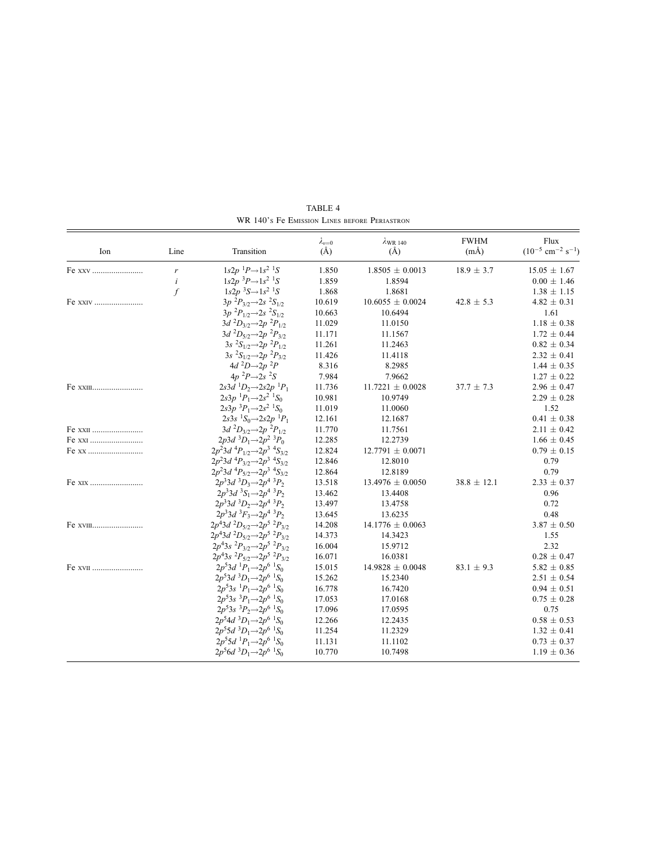| Ion      | Line      | Transition                                                           | $\lambda_{v=0}$<br>$(\AA)$ | $\lambda$ WR 140<br>$(\AA)$ | <b>FWHM</b><br>$(m\AA)$ | Flux<br>$(10^{-5}$ cm <sup>-2</sup> s <sup>-1</sup> ) |
|----------|-----------|----------------------------------------------------------------------|----------------------------|-----------------------------|-------------------------|-------------------------------------------------------|
| Fe xxv   | r         | $1s2p$ <sup>1</sup> $P\rightarrow 1s$ <sup>2</sup> <sup>1</sup> S    | 1.850                      | $1.8505 \pm 0.0013$         | $18.9 \pm 3.7$          | $15.05 \pm 1.67$                                      |
|          | $\dot{i}$ | $1s2p$ <sup>3</sup> $P\rightarrow 1s$ <sup>2</sup> <sup>1</sup> S    | 1.859                      | 1.8594                      |                         | $0.00 \pm 1.46$                                       |
|          | $\int$    | $1s2p$ <sup>3</sup> S $\rightarrow$ $1s$ <sup>2</sup> <sup>1</sup> S | 1.868                      | 1.8681                      |                         | $1.38 \pm 1.15$                                       |
| Fe XXIV  |           | $3p^{2}P_{3/2} \rightarrow 2s^{2}S_{1/2}$                            | 10.619                     | $10.6055 \pm 0.0024$        | $42.8 \pm 5.3$          | $4.82 \pm 0.31$                                       |
|          |           | $3p^{2}P_{1/2} \rightarrow 2s^{2}S_{1/2}$                            | 10.663                     | 10.6494                     |                         | 1.61                                                  |
|          |           | $3d^{2}D_{3/2} \rightarrow 2p^{2}P_{1/2}$                            | 11.029                     | 11.0150                     |                         | $1.18 \pm 0.38$                                       |
|          |           | $3d^{2}D_{5/2} \rightarrow 2p^{2}P_{3/2}$                            | 11.171                     | 11.1567                     |                         | $1.72 \pm 0.44$                                       |
|          |           | $3s^{2}S_{1/2} \rightarrow 2p^{2}P_{1/2}$                            | 11.261                     | 11.2463                     |                         | $0.82 \pm 0.34$                                       |
|          |           | $3s \ {}^2S_{1/2} \rightarrow 2p \ {}^2P_{3/2}$                      | 11.426                     | 11.4118                     |                         | $2.32 \pm 0.41$                                       |
|          |           | $4d^2D\rightarrow 2p^2P$                                             | 8.316                      | 8.2985                      |                         | $1.44 \pm 0.35$                                       |
|          |           | $4p^{2}P\rightarrow 2s^{2}S$                                         | 7.984                      | 7.9662                      |                         | $1.27 \pm 0.22$                                       |
| Fe XXIII |           | $2s3d$ ${}^{1}D_2 \rightarrow 2s2p$ ${}^{1}P_1$                      | 11.736                     | $11.7221 \pm 0.0028$        | $37.7 \pm 7.3$          | $2.96 \pm 0.47$                                       |
|          |           | $2s3p^{-1}P_1 \rightarrow 2s^2 {^{-1}S_0}$                           | 10.981                     | 10.9749                     |                         | $2.29 \pm 0.28$                                       |
|          |           | $2s3p~^3P_1 \rightarrow 2s^2~^1S_0$                                  | 11.019                     | 11.0060                     |                         | 1.52                                                  |
|          |           | $2s3s$ ${}^{1}S_0 \rightarrow 2s2p$ ${}^{1}P_1$                      | 12.161                     | 12.1687                     |                         | $0.41 \pm 0.38$                                       |
| Fe XXII  |           | $3d^{2}D_{3/2} \rightarrow 2p^{2}P_{1/2}$                            | 11.770                     | 11.7561                     |                         | $2.11 \pm 0.42$                                       |
| Fe xxi   |           | $2p3d$ ${}^3D_1 \rightarrow 2p^2$ ${}^3P_0$                          | 12.285                     | 12.2739                     |                         | $1.66 \pm 0.45$                                       |
| Fe xx    |           | $2p^23d^4P_{1/2}$ $\rightarrow$ $2p^3$ $^4S_{3/2}$                   | 12.824                     | $12.7791 \pm 0.0071$        |                         | $0.79 \pm 0.15$                                       |
|          |           | $2p^23d$ ${}^4P_{3/2}$ $\rightarrow$ $2p^3$ ${}^4S_{3/2}$            | 12.846                     | 12.8010                     |                         | 0.79                                                  |
|          |           | $2p^23d^4P_{5/2}$ $\rightarrow$ $2p^3$ $^4S_{3/2}$                   | 12.864                     | 12.8189                     |                         | 0.79                                                  |
|          |           | $2p^33d^3D_3 \rightarrow 2p^4^3P_2$                                  | 13.518                     | $13.4976 \pm 0.0050$        | $38.8 \pm 12.1$         | $2.33 \pm 0.37$                                       |
|          |           | $2p^33d^3S_1 \rightarrow 2p^4^3P_2$                                  | 13.462                     | 13.4408                     |                         | 0.96                                                  |
|          |           | $2p^33d^3D_2 \rightarrow 2p^4^3P_2$                                  | 13.497                     | 13.4758                     |                         | 0.72                                                  |
|          |           | $2p^33d^3F_3 \rightarrow 2p^4^3P_2$                                  | 13.645                     | 13.6235                     |                         | 0.48                                                  |
| Fe XVIII |           | $2p^43d^2D_{5/2}$ $\rightarrow$ $2p^5^2P_{3/2}$                      | 14.208                     | $14.1776 \pm 0.0063$        |                         | $3.87 \pm 0.50$                                       |
|          |           | $2p^4$ 3d ${}^2D_{5/2}$ $\rightarrow$ $2p^5$ ${}^2P_{3/2}$           | 14.373                     | 14.3423                     |                         | 1.55                                                  |
|          |           | $2p^43s \ ^2P_{3/2} \rightarrow 2p^5 \ ^2P_{3/2}$                    | 16.004                     | 15.9712                     |                         | 2.32                                                  |
|          |           | $2p^43s \ ^2P_{5/2} \rightarrow 2p^5 \ ^2P_{3/2}$                    | 16.071                     | 16.0381                     |                         | $0.28 \pm 0.47$                                       |
| Fe XVII  |           | $2p^53d^1P_1 \rightarrow 2p^6^1S_0$                                  | 15.015                     | $14.9828 \pm 0.0048$        | $83.1 \pm 9.3$          | $5.82 \pm 0.85$                                       |
|          |           | $2p^53d^3D_1 \rightarrow 2p^6^1S_0$                                  | 15.262                     | 15.2340                     |                         | $2.51 \pm 0.54$                                       |
|          |           | $2p^53s$ ${}^1P_1 \rightarrow 2p^6$ ${}^1S_0$                        | 16.778                     | 16.7420                     |                         | $0.94 \pm 0.51$                                       |
|          |           | $2p^53s^3P_1 \rightarrow 2p^6{}^1S_0$                                | 17.053                     | 17.0168                     |                         | $0.75 \pm 0.28$                                       |
|          |           | $2p^53s \frac{3p}{2} \rightarrow 2p^6 \frac{1}{5}S_0$                | 17.096                     | 17.0595                     |                         | 0.75                                                  |
|          |           | $2p^54d^3D_1 \rightarrow 2p^6 {^1S_0}$                               | 12.266                     | 12.2435                     |                         | $0.58 \pm 0.53$                                       |
|          |           | $2p^55d^3D_1 \rightarrow 2p^6^1S_0$                                  | 11.254                     | 11.2329                     |                         | $1.32 \pm 0.41$                                       |
|          |           | $2p^55d^1P_1 \rightarrow 2p^6^1S_0$                                  | 11.131                     | 11.1102                     |                         | $0.73 \pm 0.37$                                       |
|          |           | $2p^56d^3D_1 \rightarrow 2p^6^1S_0$                                  | 10.770                     | 10.7498                     |                         | $1.19 \pm 0.36$                                       |

TABLE 4 WR 140's Fe Emission Lines before Periastron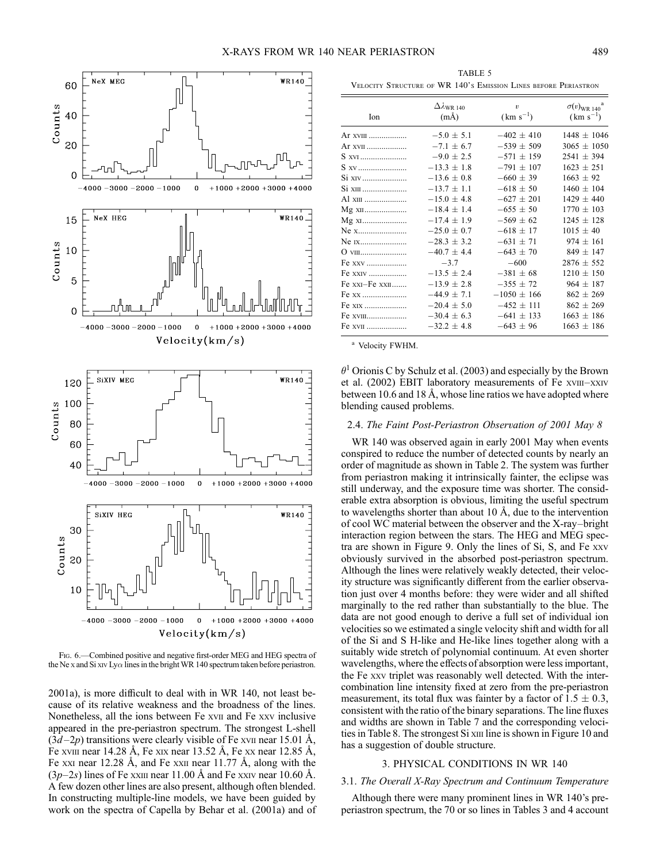

FIG. 6.—Combined positive and negative first-order MEG and HEG spectra of the Ne x and Si xiv Ly $\alpha$  lines in the bright WR 140 spectrum taken before periastron.

2001a), is more difficult to deal with in WR 140, not least because of its relative weakness and the broadness of the lines. Nonetheless, all the ions between Fe xvii and Fe xxv inclusive appeared in the pre-periastron spectrum. The strongest L-shell  $(3d-2p)$  transitions were clearly visible of Fe xvii near 15.01 Å, Fe xviii near 14.28 Å, Fe xix near 13.52 Å, Fe xx near 12.85 Å, Fe xxi near 12.28 Å, and Fe xxii near 11.77 Å, along with the  $(3p-2s)$  lines of Fe xxiii near 11.00 Å and Fe xxiv near 10.60 Å. A few dozen other lines are also present, although often blended. In constructing multiple-line models, we have been guided by work on the spectra of Capella by Behar et al. (2001a) and of

TABLE 5 Velocity Structure of WR 140's Emission Lines before Periastron

| Ion            | $\Delta \lambda_{\rm WR\ 140}$ | $\boldsymbol{v}$ | $\sigma(v)_{\rm WR\ 140}^{\rm a}$ |
|----------------|--------------------------------|------------------|-----------------------------------|
|                | $(m\AA)$                       | $(km s^{-1})$    | $(km s^{-1})$                     |
| Ar xviii       | $-5.0 \pm 5.1$                 | $-402 \pm 410$   | $1448 \pm 1046$                   |
| Ar xvii        | $-7.1 \pm 6.7$                 | $-539 \pm 509$   | $3065 \pm 1050$                   |
| S xvi          | $-9.0 \pm 2.5$                 | $-571 \pm 159$   | $2541 \pm 394$                    |
| S xv           | $-13.3 \pm 1.8$                | $-791 \pm 107$   | $1623 \pm 251$                    |
| Si xiv         | $-13.6 \pm 0.8$                | $-660 \pm 39$    | $1663 \pm 92$                     |
| Si xiii        | $-13.7 \pm 1.1$                | $-618 \pm 50$    | $1460 \pm 104$                    |
| A1 xiii        | $-15.0 \pm 4.8$                | $-627 \pm 201$   | $1429 \pm 440$                    |
| Mg xii         | $-18.4 \pm 1.4$                | $-655 \pm 50$    | $1770 \pm 103$                    |
| Mg x1          | $-17.4 \pm 1.9$                | $-569 \pm 62$    | $1245 \pm 128$                    |
| Ne x           | $-25.0 \pm 0.7$                | $-618 \pm 17$    | $1015 \pm 40$                     |
| Ne 1x          | $-28.3 \pm 3.2$                | $-631 \pm 71$    | $974 \pm 161$                     |
| O viii         | $-40.7 \pm 4.4$                | $-643 \pm 70$    | $849 \pm 147$                     |
| Fe xxv         | $-3.7$                         | $-600$           | $2876 \pm 552$                    |
| Fe xxiv        | $-13.5 \pm 2.4$                | $-381 \pm 68$    | $1210 \pm 150$                    |
| Fe xxi–Fe xxii | $-13.9 \pm 2.8$                | $-355 \pm 72$    | $964 \pm 187$                     |
| Fe xx          | $-44.9 \pm 7.1$                | $-1050 \pm 166$  | $862 \pm 269$                     |
| Fe xix         | $-20.4 \pm 5.0$                | $-452 \pm 111$   | $862 \pm 269$                     |
| Fe xviii       | $-30.4 \pm 6.3$                | $-641 \pm 133$   | $1663 \pm 186$                    |
| Fe xvii        | $-32.2 \pm 4.8$                | $-643 \pm 96$    | $1663 \pm 186$                    |

<sup>a</sup> Velocity FWHM.

 $\theta$ <sup>1</sup> Orionis C by Schulz et al. (2003) and especially by the Brown et al. (2002) EBIT laboratory measurements of Fe xvIII-XXIV between 10.6 and 18 Å, whose line ratios we have adopted where blending caused problems.

# 2.4. The Faint Post-Periastron Observation of 2001 May 8

WR 140 was observed again in early 2001 May when events conspired to reduce the number of detected counts by nearly an order of magnitude as shown in Table 2. The system was further from periastron making it intrinsically fainter, the eclipse was still underway, and the exposure time was shorter. The considerable extra absorption is obvious, limiting the useful spectrum to wavelengths shorter than about 10  $\AA$ , due to the intervention of cool WC material between the observer and the X-ray–bright interaction region between the stars. The HEG and MEG spectra are shown in Figure 9. Only the lines of Si, S, and Fe xxv obviously survived in the absorbed post-periastron spectrum. Although the lines were relatively weakly detected, their velocity structure was significantly different from the earlier observation just over 4 months before: they were wider and all shifted marginally to the red rather than substantially to the blue. The data are not good enough to derive a full set of individual ion velocities so we estimated a single velocity shift and width for all of the Si and S H-like and He-like lines together along with a suitably wide stretch of polynomial continuum. At even shorter wavelengths, where the effects of absorption were less important, the Fe xxv triplet was reasonably well detected. With the intercombination line intensity fixed at zero from the pre-periastron measurement, its total flux was fainter by a factor of  $1.5 \pm 0.3$ , consistent with the ratio of the binary separations. The line fluxes and widths are shown in Table 7 and the corresponding velocities in Table 8. The strongest Si xiii line is shown in Figure 10 and has a suggestion of double structure.

### 3. PHYSICAL CONDITIONS IN WR 140

# 3.1. The Overall X-Ray Spectrum and Continuum Temperature

Although there were many prominent lines in WR 140's preperiastron spectrum, the 70 or so lines in Tables 3 and 4 account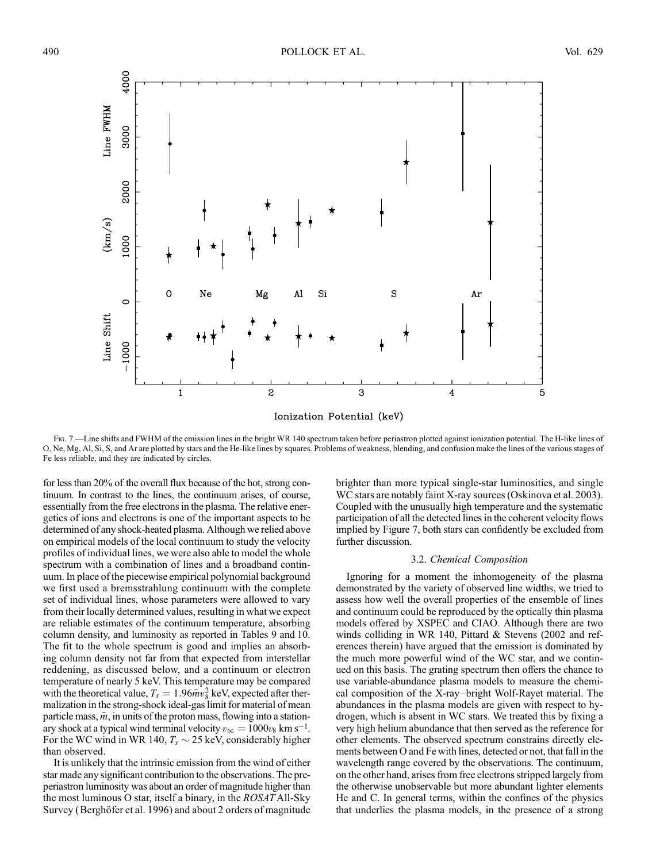

Fig. 7.—Line shifts and FWHM of the emission lines in the bright WR 140 spectrum taken before periastron plotted against ionization potential. The H-like lines of O, Ne, Mg, Al, Si, S, and Ar are plotted by stars and the He-like lines by squares. Problems of weakness, blending, and confusion make the lines of the various stages of Fe less reliable, and they are indicated by circles.

for less than 20% of the overall flux because of the hot, strong continuum. In contrast to the lines, the continuum arises, of course, essentially from the free electrons in the plasma. The relative energetics of ions and electrons is one of the important aspects to be determined of any shock-heated plasma. Although we relied above on empirical models of the local continuum to study the velocity profiles of individual lines, we were also able to model the whole spectrum with a combination of lines and a broadband continuum. In place of the piecewise empirical polynomial background we first used a bremsstrahlung continuum with the complete set of individual lines, whose parameters were allowed to vary from their locally determined values, resulting in what we expect are reliable estimates of the continuum temperature, absorbing column density, and luminosity as reported in Tables 9 and 10. The fit to the whole spectrum is good and implies an absorbing column density not far from that expected from interstellar reddening, as discussed below, and a continuum or electron temperature of nearly 5 keV. This temperature may be compared with the theoretical value,  $T_s = 1.96 \bar{m} v_8^2$  keV, expected after thermalization in the strong-shock ideal-gas limit for material of mean particle mass,  $\bar{m}$ , in units of the proton mass, flowing into a stationary shock at a typical wind terminal velocity  $v_{\infty} = 1000v_8$  km s<sup>-1</sup>. For the WC wind in WR 140,  $T_s \sim 25$  keV, considerably higher than observed.

It is unlikely that the intrinsic emission from the wind of either star made any significant contribution to the observations. The preperiastron luminosity was about an order of magnitude higher than the most luminous O star, itself a binary, in the ROSAT All-Sky Survey (Berghöfer et al. 1996) and about 2 orders of magnitude

brighter than more typical single-star luminosities, and single WC stars are notably faint X-ray sources (Oskinova et al. 2003). Coupled with the unusually high temperature and the systematic participation of all the detected lines in the coherent velocity flows implied by Figure 7, both stars can confidently be excluded from further discussion.

#### 3.2. Chemical Composition

Ignoring for a moment the inhomogeneity of the plasma demonstrated by the variety of observed line widths, we tried to assess how well the overall properties of the ensemble of lines and continuum could be reproduced by the optically thin plasma models offered by XSPEC and CIAO. Although there are two winds colliding in WR 140, Pittard & Stevens (2002 and references therein) have argued that the emission is dominated by the much more powerful wind of the WC star, and we continued on this basis. The grating spectrum then offers the chance to use variable-abundance plasma models to measure the chemical composition of the X-ray–bright Wolf-Rayet material. The abundances in the plasma models are given with respect to hydrogen, which is absent in WC stars. We treated this by fixing a very high helium abundance that then served as the reference for other elements. The observed spectrum constrains directly elements between O and Fe with lines, detected or not, that fall in the wavelength range covered by the observations. The continuum, on the other hand, arises from free electrons stripped largely from the otherwise unobservable but more abundant lighter elements He and C. In general terms, within the confines of the physics that underlies the plasma models, in the presence of a strong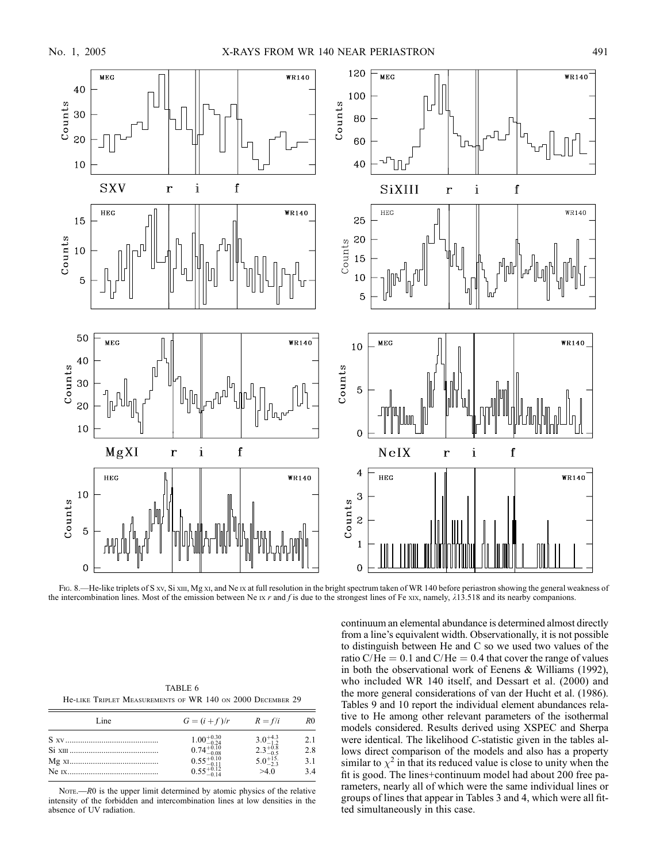

FIG. 8.—He-like triplets of S xv, Si xiii, Mg xi, and Ne ix at full resolution in the bright spectrum taken of WR 140 before periastron showing the general weakness of the intercombination lines. Most of the emission between Ne  $Ix$  r and f is due to the strongest lines of Fe xix, namely,  $\lambda$ 13.518 and its nearby companions.

| TABLE 6                                                    |  |  |  |  |
|------------------------------------------------------------|--|--|--|--|
| He-LIKE TRIPLET MEASUREMENTS OF WR 140 ON 2000 DECEMBER 29 |  |  |  |  |

| Line | $G = (i + f)/r$ $R = f/i$                                                                                                      |                                                                                | R <sub>0</sub>           |
|------|--------------------------------------------------------------------------------------------------------------------------------|--------------------------------------------------------------------------------|--------------------------|
|      | $\begin{array}{l} 1.00^{+0.30}_{-0.24} \\ 0.74^{+0.10}_{-0.08} \\ 0.55^{+0.10}_{-0.11} \\ 0.55^{+0.11}_{-0.12} \\ \end{array}$ | $\substack{3.0^{+4.3}_{-1.2} \\ 2.3^{+0.8}_{-0.5} \\ 5.0^{+15}_{-2.3}}$<br>>40 | 2.1<br>2.8<br>3.1<br>3.4 |

NOTE.— $R0$  is the upper limit determined by atomic physics of the relative intensity of the forbidden and intercombination lines at low densities in the absence of UV radiation.

continuum an elemental abundance is determined almost directly from a line's equivalent width. Observationally, it is not possible to distinguish between He and C so we used two values of the ratio C/He  $= 0.1$  and C/He  $= 0.4$  that cover the range of values in both the observational work of Eenens & Williams (1992), who included WR 140 itself, and Dessart et al. (2000) and the more general considerations of van der Hucht et al. (1986). Tables 9 and 10 report the individual element abundances relative to He among other relevant parameters of the isothermal models considered. Results derived using XSPEC and Sherpa were identical. The likelihood C-statistic given in the tables allows direct comparison of the models and also has a property similar to  $\chi^2$  in that its reduced value is close to unity when the fit is good. The lines+continuum model had about 200 free parameters, nearly all of which were the same individual lines or groups of lines that appear in Tables 3 and 4, which were all fitted simultaneously in this case.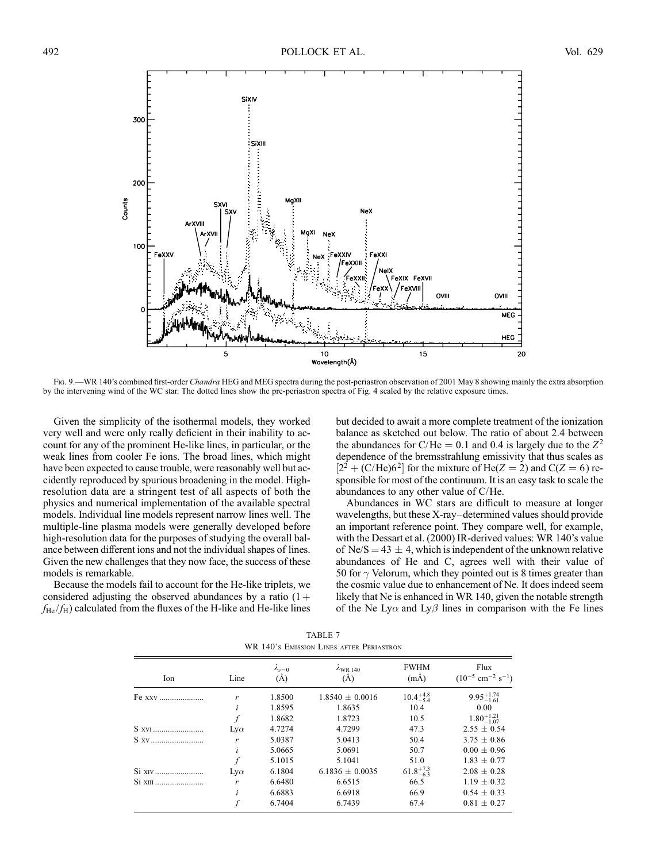

FIG. 9.—WR 140's combined first-order Chandra HEG and MEG spectra during the post-periastron observation of 2001 May 8 showing mainly the extra absorption by the intervening wind of the WC star. The dotted lines show the pre-periastron spectra of Fig. 4 scaled by the relative exposure times.

Given the simplicity of the isothermal models, they worked very well and were only really deficient in their inability to account for any of the prominent He-like lines, in particular, or the weak lines from cooler Fe ions. The broad lines, which might have been expected to cause trouble, were reasonably well but accidently reproduced by spurious broadening in the model. Highresolution data are a stringent test of all aspects of both the physics and numerical implementation of the available spectral models. Individual line models represent narrow lines well. The multiple-line plasma models were generally developed before high-resolution data for the purposes of studying the overall balance between different ions and not the individual shapes of lines. Given the new challenges that they now face, the success of these models is remarkable.

Because the models fail to account for the He-like triplets, we considered adjusting the observed abundances by a ratio  $(1 +$  $f_{\text{He}}/f_{\text{H}}$ ) calculated from the fluxes of the H-like and He-like lines but decided to await a more complete treatment of the ionization balance as sketched out below. The ratio of about 2.4 between the abundances for C/He = 0.1 and 0.4 is largely due to the  $Z^2$ dependence of the bremsstrahlung emissivity that thus scales as  $[2^2 + (C/He)6^2]$  for the mixture of He(Z = 2) and C(Z = 6) responsible for most of the continuum. It is an easy task to scale the abundances to any other value of C/He.

Abundances in WC stars are difficult to measure at longer wavelengths, but these X-ray–determined values should provide an important reference point. They compare well, for example, with the Dessart et al. (2000) IR-derived values: WR 140's value of Ne/S = 43  $\pm$  4, which is independent of the unknown relative abundances of He and C, agrees well with their value of 50 for  $\gamma$  Velorum, which they pointed out is 8 times greater than the cosmic value due to enhancement of Ne. It does indeed seem likely that Ne is enhanced in WR 140, given the notable strength of the Ne Ly $\alpha$  and Ly $\beta$  lines in comparison with the Fe lines

| WR 140's EMISSION LINES AFTER PERIASTRON |            |                        |                             |                         |                                                       |
|------------------------------------------|------------|------------------------|-----------------------------|-------------------------|-------------------------------------------------------|
| Ion                                      | Line       | $\lambda_{v=0}$<br>(A) | $\lambda$ WR 140<br>$(\AA)$ | <b>FWHM</b><br>$(m\AA)$ | Flux<br>$(10^{-5}$ cm <sup>-2</sup> s <sup>-1</sup> ) |
| Fe xxv                                   | r          | 1.8500                 | $1.8540 \pm 0.0016$         | $10.4^{+4.8}_{-5.4}$    | $9.95_{-1.61}^{+1.74}$                                |
|                                          | i          | 1.8595                 | 1.8635                      | 10.4                    | 0.00                                                  |
|                                          |            | 1.8682                 | 1.8723                      | 10.5                    | $1.80^{+1.21}_{-1.07}$                                |
| S XVI                                    | $Lv\alpha$ | 4.7274                 | 4.7299                      | 47.3                    | $2.55 \pm 0.54$                                       |
| S xv                                     | r          | 5.0387                 | 5.0413                      | 50.4                    | $3.75 \pm 0.86$                                       |
|                                          | i          | 5.0665                 | 5.0691                      | 50.7                    | $0.00 \pm 0.96$                                       |
|                                          | f          | 5.1015                 | 5.1041                      | 51.0                    | $1.83 \pm 0.77$                                       |
| Si XIV                                   | $Lv\alpha$ | 6.1804                 | $6.1836 \pm 0.0035$         | $61.8^{+7.3}_{-6.3}$    | $2.08 \pm 0.28$                                       |
| Si xIII                                  | r          | 6.6480                 | 6.6515                      | 66.5                    | $1.19 \pm 0.32$                                       |
|                                          | i          | 6.6883                 | 6.6918                      | 66.9                    | $0.54 \pm 0.33$                                       |
|                                          |            | 6.7404                 | 6.7439                      | 67.4                    | $0.81 \pm 0.27$                                       |

TABLE 7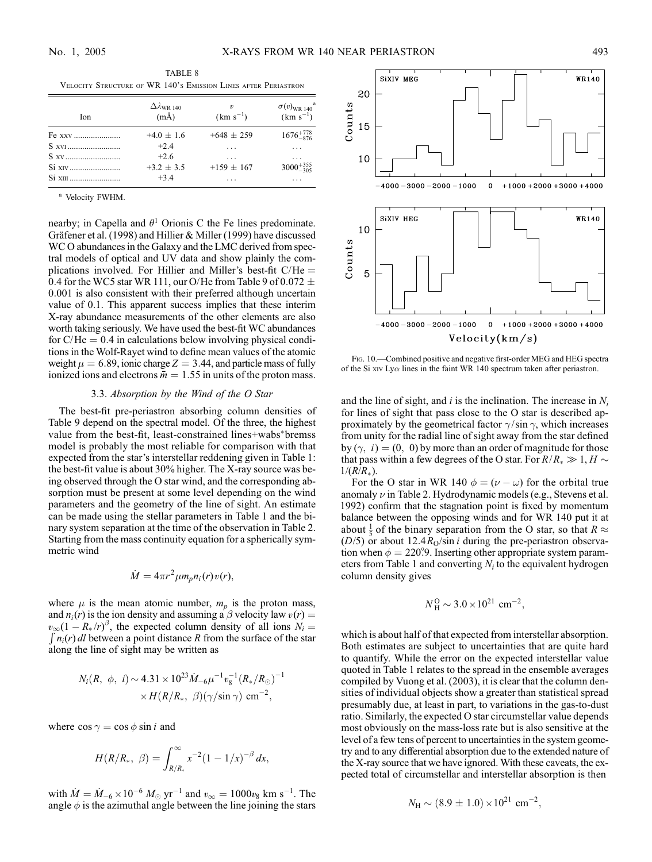| TABLE 8 |                                                                |  |  |
|---------|----------------------------------------------------------------|--|--|
|         | VELOCITY STRUCTURE OF WR 140's EMISSION LINES AFTER PERIASTRON |  |  |

| Ion    | $\Delta \lambda_{\rm WR\ 140}$<br>$(m\AA)$ | $\boldsymbol{\eta}$<br>$(km s^{-1})$ | $\sigma(v)_{\rm WR\;140}$ <sup>a</sup><br>$(km s^{-1})$ |
|--------|--------------------------------------------|--------------------------------------|---------------------------------------------------------|
| Fe xxv | $+4.0 \pm 1.6$                             | $+648 \pm 259$                       | $1676^{+778}_{-876}$                                    |
| S XVI  | $+2.4$                                     | .                                    | .                                                       |
| S xv   | $+2.6$                                     | .                                    | .                                                       |
|        | $+3.2 + 3.5$                               | $+159 \pm 167$                       | $3000^{+355}_{-305}$                                    |
|        | $+3.4$                                     | .                                    | .                                                       |

<sup>a</sup> Velocity FWHM.

nearby; in Capella and  $\theta$ <sup>1</sup> Orionis C the Fe lines predominate. Gräfener et al. (1998) and Hillier & Miller (1999) have discussed WC O abundances in the Galaxy and the LMC derived from spectral models of optical and UV data and show plainly the complications involved. For Hillier and Miller's best-fit  $C/He =$ 0.4 for the WC5 star WR 111, our O/He from Table 9 of 0.072  $\pm$ 0:001 is also consistent with their preferred although uncertain value of 0.1. This apparent success implies that these interim X-ray abundance measurements of the other elements are also worth taking seriously. We have used the best-fit WC abundances for  $C/He = 0.4$  in calculations below involving physical conditions in the Wolf-Rayet wind to define mean values of the atomic weight  $\mu = 6.89$ , ionic charge  $Z = 3.44$ , and particle mass of fully ionized ions and electrons  $\bar{m} = 1.55$  in units of the proton mass.

## 3.3. Absorption by the Wind of the O Star

The best-fit pre-periastron absorbing column densities of Table 9 depend on the spectral model. Of the three, the highest value from the best-fit, least-constrained lines+wabs\*bremss model is probably the most reliable for comparison with that expected from the star's interstellar reddening given in Table 1: the best-fit value is about 30% higher. The X-ray source was being observed through the O star wind, and the corresponding absorption must be present at some level depending on the wind parameters and the geometry of the line of sight. An estimate can be made using the stellar parameters in Table 1 and the binary system separation at the time of the observation in Table 2. Starting from the mass continuity equation for a spherically symmetric wind

$$
\dot{M}=4\pi r^2 \mu m_p n_i(r)v(r),
$$

where  $\mu$  is the mean atomic number,  $m_p$  is the proton mass, and  $n_i(r)$  is the ion density and assuming a  $\beta$  velocity law  $v(r) =$  $v_{\infty}(1 - R_{*}/r)^{\beta}$ , the expected column density of all ions  $N_i =$  $\int n_i(r) dl$  between a point distance R from the surface of the star along the line of sight may be written as

$$
N_i(R, \phi, i) \sim 4.31 \times 10^{23} \dot{M}_{-6} \mu^{-1} v_8^{-1} (R_*/R_{\odot})^{-1}
$$
  
 
$$
\times H(R/R_*, \beta) (\gamma / \sin \gamma) \text{ cm}^{-2},
$$

where  $\cos \gamma = \cos \phi \sin i$  and

$$
H(R/R_*, \beta) = \int_{R/R_*}^{\infty} x^{-2} (1 - 1/x)^{-\beta} dx,
$$

with  $\dot{M} = \dot{M}_{-6} \times 10^{-6} M_{\odot} \text{ yr}^{-1}$  and  $v_{\infty} = 1000v_8 \text{ km s}^{-1}$ . The angle  $\phi$  is the azimuthal angle between the line joining the stars



Fig. 10.—Combined positive and negative first-order MEG and HEG spectra of the Si xiv Ly $\alpha$  lines in the faint WR 140 spectrum taken after periastron.

and the line of sight, and i is the inclination. The increase in  $N_i$ for lines of sight that pass close to the O star is described approximately by the geometrical factor  $\gamma$ /sin  $\gamma$ , which increases from unity for the radial line of sight away from the star defined by  $(\gamma, i) = (0, 0)$  by more than an order of magnitude for those that pass within a few degrees of the O star. For  $R/R_* \gg 1, H \sim$  $1/(R/R_*)$ .

For the O star in WR 140  $\phi = (\nu - \omega)$  for the orbital true anomaly  $\nu$  in Table 2. Hydrodynamic models (e.g., Stevens et al. 1992) confirm that the stagnation point is fixed by momentum balance between the opposing winds and for WR 140 put it at about  $\frac{1}{5}$  of the binary separation from the O star, so that  $R \approx$ ( $D/5$ ) or about 12.4 $R<sub>O</sub>/sin i$  during the pre-periastron observation when  $\phi = 220.9$ . Inserting other appropriate system parameters from Table 1 and converting  $N_i$  to the equivalent hydrogen column density gives

$$
N_{\rm H}^{\rm O} \sim 3.0 \times 10^{21} \rm \ cm^{-2},
$$

which is about half of that expected from interstellar absorption. Both estimates are subject to uncertainties that are quite hard to quantify. While the error on the expected interstellar value quoted in Table 1 relates to the spread in the ensemble averages compiled by Vuong et al. (2003), it is clear that the column densities of individual objects show a greater than statistical spread presumably due, at least in part, to variations in the gas-to-dust ratio. Similarly, the expected O star circumstellar value depends most obviously on the mass-loss rate but is also sensitive at the level of a few tens of percent to uncertainties in the system geometry and to any differential absorption due to the extended nature of the X-ray source that we have ignored. With these caveats, the expected total of circumstellar and interstellar absorption is then

$$
N_{\rm H} \sim (8.9 \pm 1.0) \times 10^{21} \text{ cm}^{-2},
$$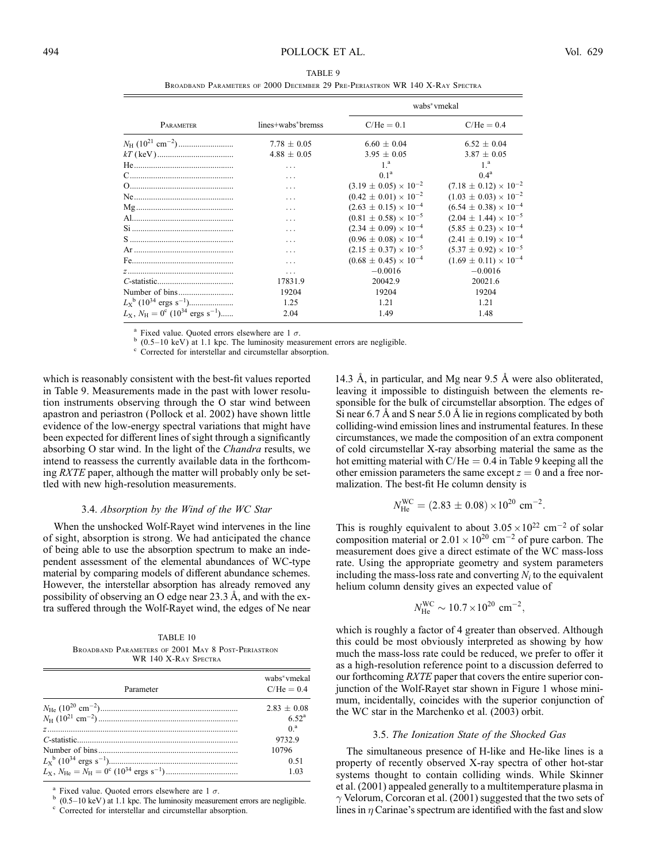| TABLE 9                                                                      |  |  |
|------------------------------------------------------------------------------|--|--|
| BROADBAND PARAMETERS OF 2000 DECEMBER 29 PRE-PERIASTRON WR 140 X-RAY SPECTRA |  |  |

|                                                                                |                   |                                  | wabs*vmekal                      |
|--------------------------------------------------------------------------------|-------------------|----------------------------------|----------------------------------|
| PARAMETER                                                                      | lines+wabs*bremss | $C/He = 0.1$                     | $C/He = 0.4$                     |
|                                                                                | $7.78 \pm 0.05$   | $6.60 \pm 0.04$                  | $6.52 \pm 0.04$                  |
|                                                                                | $4.88 \pm 0.05$   | $3.95 \pm 0.05$                  | $3.87 \pm 0.05$                  |
|                                                                                | .                 | 1 <sup>a</sup>                   | 1 <sup>a</sup>                   |
|                                                                                | $\cdots$          | 0.1 <sup>a</sup>                 | 0.4 <sup>a</sup>                 |
|                                                                                | .                 | $(3.19 \pm 0.05) \times 10^{-2}$ | $(7.18 \pm 0.12) \times 10^{-2}$ |
|                                                                                | .                 | $(0.42 \pm 0.01) \times 10^{-2}$ | $(1.03 \pm 0.03) \times 10^{-2}$ |
|                                                                                | .                 | $(2.63 \pm 0.15) \times 10^{-4}$ | $(6.54 \pm 0.38) \times 10^{-4}$ |
|                                                                                | .                 | $(0.81 \pm 0.58) \times 10^{-5}$ | $(2.04 \pm 1.44) \times 10^{-5}$ |
|                                                                                | .                 | $(2.34 \pm 0.09) \times 10^{-4}$ | $(5.85 \pm 0.23) \times 10^{-4}$ |
|                                                                                |                   | $(0.96 \pm 0.08) \times 10^{-4}$ | $(2.41 \pm 0.19) \times 10^{-4}$ |
|                                                                                |                   | $(2.15 \pm 0.37) \times 10^{-5}$ | $(5.37 \pm 0.92) \times 10^{-5}$ |
|                                                                                |                   | $(0.68 \pm 0.45) \times 10^{-4}$ | $(1.69 \pm 0.11) \times 10^{-4}$ |
|                                                                                | .                 | $-0.0016$                        | $-0.0016$                        |
|                                                                                | 17831.9           | 20042.9                          | 20021.6                          |
|                                                                                | 19204             | 19204                            | 19204                            |
|                                                                                | 1.25              | 1.21                             | 1.21                             |
| $L_{\rm X}$ , $N_{\rm H} = 0^{\rm c}$ (10 <sup>34</sup> ergs s <sup>-1</sup> ) | 2.04              | 1.49                             | 1.48                             |

<sup>a</sup> Fixed value. Quoted errors elsewhere are 1  $\sigma$ .<br><sup>b</sup> (0.5–10 keV) at 1.1 kpc. The luminosity measurement errors are negligible. c Corrected for interstellar and circumstellar absorption.

which is reasonably consistent with the best-fit values reported in Table 9. Measurements made in the past with lower resolution instruments observing through the O star wind between apastron and periastron (Pollock et al. 2002) have shown little evidence of the low-energy spectral variations that might have been expected for different lines of sight through a significantly absorbing O star wind. In the light of the *Chandra* results, we intend to reassess the currently available data in the forthcoming *RXTE* paper, although the matter will probably only be settled with new high-resolution measurements.

#### 3.4. Absorption by the Wind of the WC Star

When the unshocked Wolf-Rayet wind intervenes in the line of sight, absorption is strong. We had anticipated the chance of being able to use the absorption spectrum to make an independent assessment of the elemental abundances of WC-type material by comparing models of different abundance schemes. However, the interstellar absorption has already removed any possibility of observing an O edge near  $23.3 \text{ Å}$ , and with the extra suffered through the Wolf-Rayet wind, the edges of Ne near

TABLE 10 Broadband Parameters of 2001 May 8 Post-Periastron WR 140 X-RAY SPECTRA

| Parameter | wabs*vmekal<br>$C/He = 0.4$ |
|-----------|-----------------------------|
|           | $2.83 + 0.08$               |
|           | 6.52 <sup>a</sup>           |
|           | 0 <sup>a</sup>              |
|           | 9732.9                      |
|           | 10796                       |
|           | 0.51                        |
|           | 1.03                        |
|           |                             |

Fixed value. Quoted errors elsewhere are 1  $\sigma$ .<br>(0.5–10 keV) at 1.1 kpc. The luminosity measurement errors are negligible. Corrected for interstellar and circumstellar absorption.

14.3 Å, in particular, and Mg near 9.5 Å were also obliterated, leaving it impossible to distinguish between the elements responsible for the bulk of circumstellar absorption. The edges of Si near  $6.7 \text{ Å}$  and S near  $5.0 \text{ Å}$  lie in regions complicated by both colliding-wind emission lines and instrumental features. In these circumstances, we made the composition of an extra component of cold circumstellar X-ray absorbing material the same as the hot emitting material with  $C/He = 0.4$  in Table 9 keeping all the other emission parameters the same except  $z = 0$  and a free normalization. The best-fit He column density is

$$
N_{\text{He}}^{\text{WC}} = (2.83 \pm 0.08) \times 10^{20} \text{ cm}^{-2}.
$$

This is roughly equivalent to about  $3.05 \times 10^{22}$  cm<sup>-2</sup> of solar composition material or  $2.01 \times 10^{20}$  cm<sup>-2</sup> of pure carbon. The measurement does give a direct estimate of the WC mass-loss rate. Using the appropriate geometry and system parameters including the mass-loss rate and converting  $N_i$  to the equivalent helium column density gives an expected value of

$$
N_{\text{He}}^{\text{WC}} \sim 10.7 \times 10^{20} \text{ cm}^{-2},
$$

which is roughly a factor of 4 greater than observed. Although this could be most obviously interpreted as showing by how much the mass-loss rate could be reduced, we prefer to offer it as a high-resolution reference point to a discussion deferred to our forthcoming *RXTE* paper that covers the entire superior conjunction of the Wolf-Rayet star shown in Figure 1 whose minimum, incidentally, coincides with the superior conjunction of the WC star in the Marchenko et al. (2003) orbit.

#### 3.5. The Ionization State of the Shocked Gas

The simultaneous presence of H-like and He-like lines is a property of recently observed X-ray spectra of other hot-star systems thought to contain colliding winds. While Skinner et al. (2001) appealed generally to a multitemperature plasma in  $\gamma$  Velorum, Corcoran et al. (2001) suggested that the two sets of lines in  $\eta$  Carinae's spectrum are identified with the fast and slow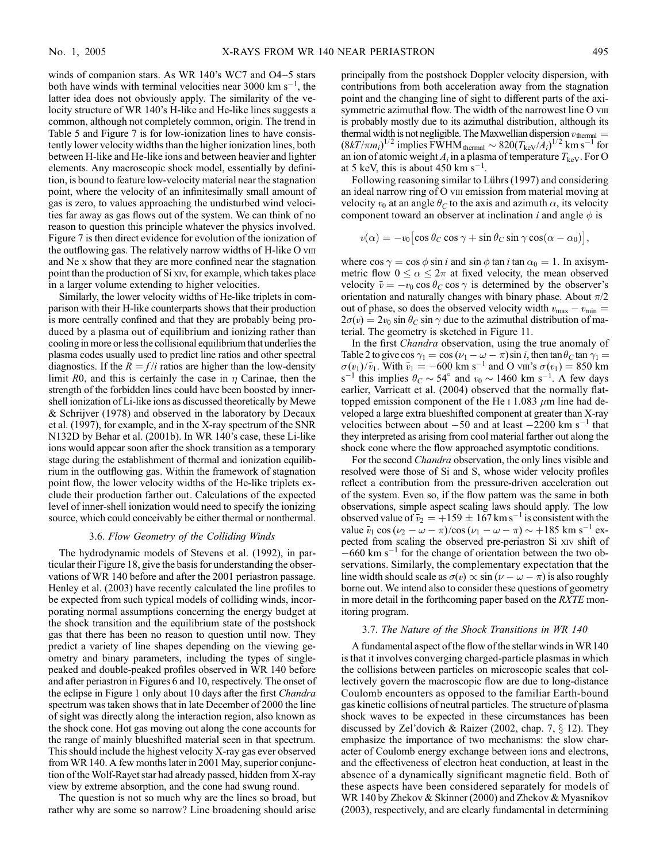winds of companion stars. As WR 140's WC7 and O4–5 stars both have winds with terminal velocities near 3000 km  $s^{-1}$ , the latter idea does not obviously apply. The similarity of the velocity structure of WR 140's H-like and He-like lines suggests a common, although not completely common, origin. The trend in Table 5 and Figure 7 is for low-ionization lines to have consistently lower velocity widths than the higher ionization lines, both between H-like and He-like ions and between heavier and lighter elements. Any macroscopic shock model, essentially by definition, is bound to feature low-velocity material near the stagnation point, where the velocity of an infinitesimally small amount of gas is zero, to values approaching the undisturbed wind velocities far away as gas flows out of the system. We can think of no reason to question this principle whatever the physics involved. Figure 7 is then direct evidence for evolution of the ionization of the outflowing gas. The relatively narrow widths of H-like O viii and Ne x show that they are more confined near the stagnation point than the production of Si xiv, for example, which takes place in a larger volume extending to higher velocities.

Similarly, the lower velocity widths of He-like triplets in comparison with their H-like counterparts shows that their production is more centrally confined and that they are probably being produced by a plasma out of equilibrium and ionizing rather than cooling in more or less the collisional equilibrium that underlies the plasma codes usually used to predict line ratios and other spectral diagnostics. If the  $R = f/i$  ratios are higher than the low-density limit R0, and this is certainly the case in  $\eta$  Carinae, then the strength of the forbidden lines could have been boosted by innershell ionization of Li-like ions as discussed theoretically by Mewe & Schrijver (1978) and observed in the laboratory by Decaux et al. (1997), for example, and in the X-ray spectrum of the SNR N132D by Behar et al. (2001b). In WR 140's case, these Li-like ions would appear soon after the shock transition as a temporary stage during the establishment of thermal and ionization equilibrium in the outflowing gas. Within the framework of stagnation point flow, the lower velocity widths of the He-like triplets exclude their production farther out. Calculations of the expected level of inner-shell ionization would need to specify the ionizing source, which could conceivably be either thermal or nonthermal.

### 3.6. Flow Geometry of the Colliding Winds

The hydrodynamic models of Stevens et al. (1992), in particular their Figure 18, give the basis for understanding the observations of WR 140 before and after the 2001 periastron passage. Henley et al. (2003) have recently calculated the line profiles to be expected from such typical models of colliding winds, incorporating normal assumptions concerning the energy budget at the shock transition and the equilibrium state of the postshock gas that there has been no reason to question until now. They predict a variety of line shapes depending on the viewing geometry and binary parameters, including the types of singlepeaked and double-peaked profiles observed in WR 140 before and after periastron in Figures 6 and 10, respectively. The onset of the eclipse in Figure 1 only about 10 days after the first Chandra spectrum was taken shows that in late December of 2000 the line of sight was directly along the interaction region, also known as the shock cone. Hot gas moving out along the cone accounts for the range of mainly blueshifted material seen in that spectrum. This should include the highest velocity X-ray gas ever observed from WR 140. A few months later in 2001 May, superior conjunction of the Wolf-Rayet star had already passed, hidden from X-ray view by extreme absorption, and the cone had swung round.

The question is not so much why are the lines so broad, but rather why are some so narrow? Line broadening should arise principally from the postshock Doppler velocity dispersion, with contributions from both acceleration away from the stagnation point and the changing line of sight to different parts of the axisymmetric azimuthal flow. The width of the narrowest line O viii is probably mostly due to its azimuthal distribution, although its thermal width is not negligible. The Maxwellian dispersion  $v_{\text{thermal}} =$  $(8kT/\pi m_i)^{1/2}$  implies FWHM thermal  $\sim 820(T_{\rm keV}/A_i)^{1/2}$  km s<sup>-1</sup> for an ion of atomic weight  $A_i$  in a plasma of temperature  $T_{\text{keV}}$ . For O at 5 keV, this is about  $450 \text{ km s}^{-1}$ .

Following reasoning similar to Lührs (1997) and considering an ideal narrow ring of O viii emission from material moving at velocity  $v_0$  at an angle  $\theta_C$  to the axis and azimuth  $\alpha$ , its velocity component toward an observer at inclination *i* and angle  $\phi$  is

$$
v(\alpha) = -v_0 \left[ \cos \theta_C \cos \gamma + \sin \theta_C \sin \gamma \cos(\alpha - \alpha_0) \right],
$$

where  $\cos \gamma = \cos \phi \sin i$  and  $\sin \phi \tan i$  tan  $\alpha_0 = 1$ . In axisymmetric flow  $0 \le \alpha \le 2\pi$  at fixed velocity, the mean observed velocity  $\bar{v} = -v_0 \cos \theta_C \cos \gamma$  is determined by the observer's orientation and naturally changes with binary phase. About  $\pi/2$ out of phase, so does the observed velocity width  $v_{\text{max}} - v_{\text{min}} =$  $2\sigma(v) = 2v_0 \sin \theta_c \sin \gamma$  due to the azimuthal distribution of material. The geometry is sketched in Figure 11.

In the first *Chandra* observation, using the true anomaly of Table 2 to give cos  $\gamma_1 = \cos(\nu_1 - \omega - \pi) \sin i$ , then tan  $\theta_C \tan \gamma_1 =$  $\sigma(v_1)/\bar{v}_1$ . With  $\bar{v}_1 = -600$  km s<sup>-1</sup> and O viii's  $\sigma(v_1) = 850$  km s<sup>-1</sup> this implies  $\theta_C \sim 54^\circ$  and  $v_0 \sim 1460$  km s<sup>-1</sup>. A few days earlier, Varricatt et al. (2004) observed that the normally flattopped emission component of the He  $\scriptstyle\rm I$  1.083  $\mu$ m line had developed a large extra blueshifted component at greater than X-ray velocities between about  $-50$  and at least  $-2200$  km s<sup>-1</sup> that they interpreted as arising from cool material farther out along the shock cone where the flow approached asymptotic conditions.

For the second Chandra observation, the only lines visible and resolved were those of Si and S, whose wider velocity profiles reflect a contribution from the pressure-driven acceleration out of the system. Even so, if the flow pattern was the same in both observations, simple aspect scaling laws should apply. The low observed value of  $\bar{v}_2 = +159 \pm 167$  km s<sup>-1</sup> is consistent with the value  $\bar{v}_1 \cos (\nu_2 - \omega - \pi) / \cos (\nu_1 - \omega - \pi) \sim +185 \text{ km s}^{-1} \text{ ex-}$ pected from scaling the observed pre-periastron Si xiv shift of  $-660$  km s<sup>-1</sup> for the change of orientation between the two observations. Similarly, the complementary expectation that the line width should scale as  $\sigma(v) \propto \sin(\nu - \omega - \pi)$  is also roughly borne out. We intend also to consider these questions of geometry in more detail in the forthcoming paper based on the RXTE monitoring program.

# 3.7. The Nature of the Shock Transitions in WR 140

A fundamental aspect of the flow of the stellar winds in WR140 is that it involves converging charged-particle plasmas in which the collisions between particles on microscopic scales that collectively govern the macroscopic flow are due to long-distance Coulomb encounters as opposed to the familiar Earth-bound gas kinetic collisions of neutral particles. The structure of plasma shock waves to be expected in these circumstances has been discussed by Zel'dovich & Raizer (2002, chap. 7,  $\S$  12). They emphasize the importance of two mechanisms: the slow character of Coulomb energy exchange between ions and electrons, and the effectiveness of electron heat conduction, at least in the absence of a dynamically significant magnetic field. Both of these aspects have been considered separately for models of WR 140 by Zhekov & Skinner (2000) and Zhekov & Myasnikov (2003), respectively, and are clearly fundamental in determining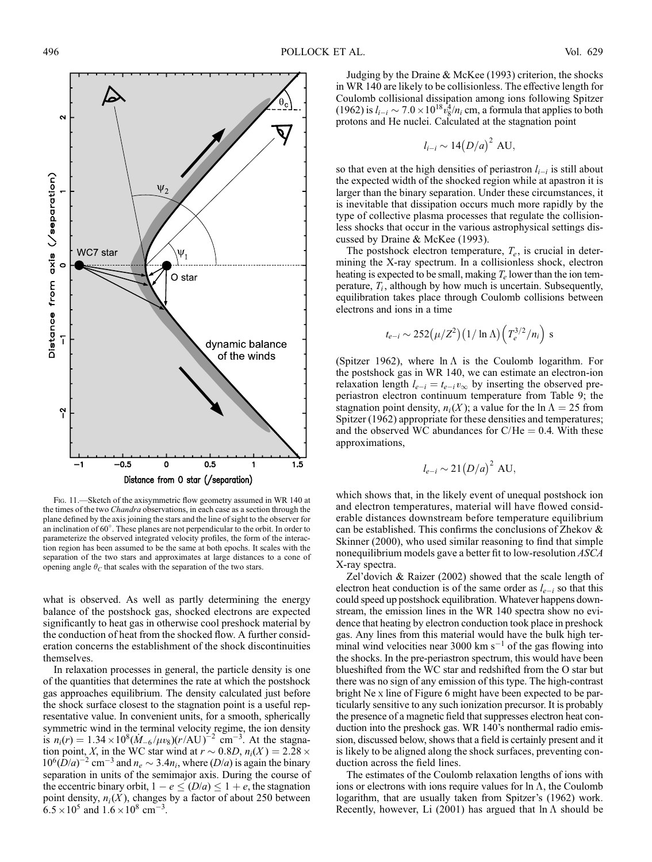

Fig. 11.—Sketch of the axisymmetric flow geometry assumed in WR 140 at the times of the two Chandra observations, in each case as a section through the plane defined by the axis joining the stars and the line of sight to the observer for an inclination of  $60^\circ$ . These planes are not perpendicular to the orbit. In order to parameterize the observed integrated velocity profiles, the form of the interaction region has been assumed to be the same at both epochs. It scales with the separation of the two stars and approximates at large distances to a cone of opening angle  $\theta_C$  that scales with the separation of the two stars.

what is observed. As well as partly determining the energy balance of the postshock gas, shocked electrons are expected significantly to heat gas in otherwise cool preshock material by the conduction of heat from the shocked flow. A further consideration concerns the establishment of the shock discontinuities themselves.

In relaxation processes in general, the particle density is one of the quantities that determines the rate at which the postshock gas approaches equilibrium. The density calculated just before the shock surface closest to the stagnation point is a useful representative value. In convenient units, for a smooth, spherically symmetric wind in the terminal velocity regime, the ion density is  $n_i(r) = 1.34 \times 10^8 (\dot{M}_{-6}/\mu v_8)(r/AU)^{-2}$  cm<sup>-3</sup>. At the stagnation point, X, in the WC star wind at  $r \sim 0.8D$ ,  $n_i(X) = 2.28 \times$  $10^6(D/a)^{-2}$  cm<sup>-3</sup> and  $n_e \sim 3.4n_i$ , where  $(D/a)$  is again the binary separation in units of the semimajor axis. During the course of the eccentric binary orbit,  $1 - e \leq (D/a) \leq 1 + e$ , the stagnation point density,  $n_i(X)$ , changes by a factor of about 250 between  $6.5 \times 10^5$  and  $1.6 \times 10^8$  cm<sup>-3</sup>.

Judging by the Draine & McKee (1993) criterion, the shocks in WR 140 are likely to be collisionless. The effective length for Coulomb collisional dissipation among ions following Spitzer (1962) is  $l_{i-i} \sim 7.0 \times 10^{18} v_8^4/n_i$  cm, a formula that applies to both protons and He nuclei. Calculated at the stagnation point

$$
l_{i-i} \sim 14 \left(D/a\right)^2 \text{ AU}
$$

so that even at the high densities of periastron  $l_{i-i}$  is still about the expected width of the shocked region while at apastron it is larger than the binary separation. Under these circumstances, it is inevitable that dissipation occurs much more rapidly by the type of collective plasma processes that regulate the collisionless shocks that occur in the various astrophysical settings discussed by Draine & McKee (1993).

The postshock electron temperature,  $T_e$ , is crucial in determining the X-ray spectrum. In a collisionless shock, electron heating is expected to be small, making  $T_e$  lower than the ion temperature,  $T_i$ , although by how much is uncertain. Subsequently, equilibration takes place through Coulomb collisions between electrons and ions in a time

$$
t_{e-i} \sim 252(\mu/Z^2)(1/\ln\Lambda)\left(T_e^{3/2}/n_i\right)
$$
 s

(Spitzer 1962), where  $\ln \Lambda$  is the Coulomb logarithm. For the postshock gas in WR 140, we can estimate an electron-ion relaxation length  $l_{e-i} = t_{e-i} v_{\infty}$  by inserting the observed preperiastron electron continuum temperature from Table 9; the stagnation point density,  $n_i(X)$ ; a value for the  $\ln \Lambda = 25$  from Spitzer (1962) appropriate for these densities and temperatures; and the observed WC abundances for C/He  $= 0.4$ . With these approximations,

$$
l_{e-i} \sim 21 (D/a)^2 \text{ AU},
$$

which shows that, in the likely event of unequal postshock ion and electron temperatures, material will have flowed considerable distances downstream before temperature equilibrium can be established. This confirms the conclusions of Zhekov & Skinner (2000), who used similar reasoning to find that simple nonequilibrium models gave a better fit to low-resolution ASCA X-ray spectra.

Zel'dovich & Raizer (2002) showed that the scale length of electron heat conduction is of the same order as  $l_{e-i}$  so that this could speed up postshock equilibration. Whatever happens downstream, the emission lines in the WR 140 spectra show no evidence that heating by electron conduction took place in preshock gas. Any lines from this material would have the bulk high terminal wind velocities near 3000 km  $s^{-1}$  of the gas flowing into the shocks. In the pre-periastron spectrum, this would have been blueshifted from the WC star and redshifted from the O star but there was no sign of any emission of this type. The high-contrast bright Ne x line of Figure 6 might have been expected to be particularly sensitive to any such ionization precursor. It is probably the presence of a magnetic field that suppresses electron heat conduction into the preshock gas. WR 140's nonthermal radio emission, discussed below, shows that a field is certainly present and it is likely to be aligned along the shock surfaces, preventing conduction across the field lines.

The estimates of the Coulomb relaxation lengths of ions with ions or electrons with ions require values for  $\ln \Lambda$ , the Coulomb logarithm, that are usually taken from Spitzer's (1962) work. Recently, however, Li (2001) has argued that  $\ln \Lambda$  should be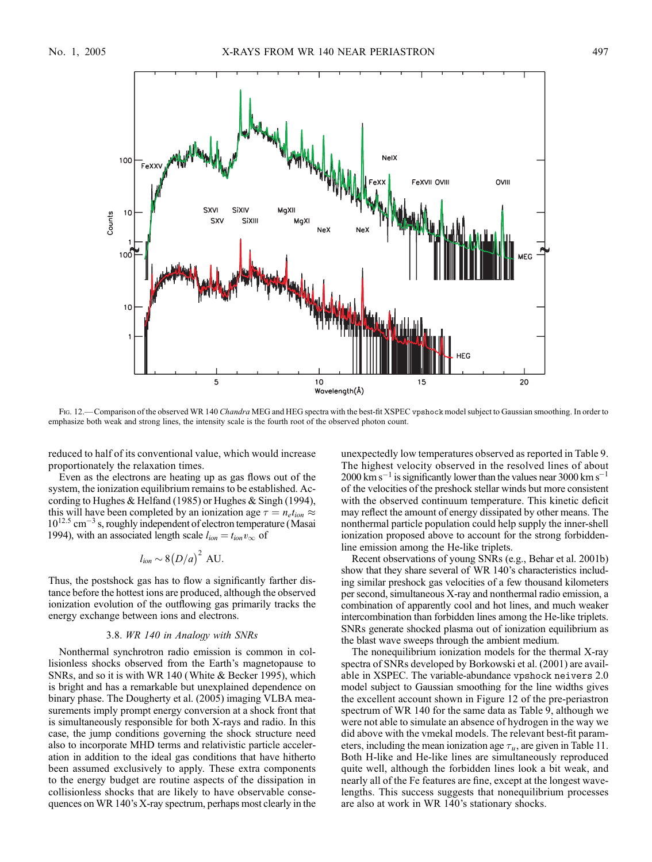

Fig. 12.—Comparison of the observed WR 140 Chandra MEG and HEG spectra with the best-fit XSPEC vpshock model subject to Gaussian smoothing. In order to emphasize both weak and strong lines, the intensity scale is the fourth root of the observed photon count.

reduced to half of its conventional value, which would increase proportionately the relaxation times.

Even as the electrons are heating up as gas flows out of the system, the ionization equilibrium remains to be established. According to Hughes & Helfand (1985) or Hughes & Singh (1994), this will have been completed by an ionization age  $\tau = n_e t_{ion} \approx$  $10^{12.5}$  cm<sup>-3</sup> s, roughly independent of electron temperature (Masai 1994), with an associated length scale  $l_{ion} = t_{ion} v_{\infty}$  of

$$
l_{ion} \sim 8(D/a)^2 \text{ AU}.
$$

Thus, the postshock gas has to flow a significantly farther distance before the hottest ions are produced, although the observed ionization evolution of the outflowing gas primarily tracks the energy exchange between ions and electrons.

#### 3.8. WR 140 in Analogy with SNRs

Nonthermal synchrotron radio emission is common in collisionless shocks observed from the Earth's magnetopause to SNRs, and so it is with WR 140 (White & Becker 1995), which is bright and has a remarkable but unexplained dependence on binary phase. The Dougherty et al. (2005) imaging VLBA measurements imply prompt energy conversion at a shock front that is simultaneously responsible for both X-rays and radio. In this case, the jump conditions governing the shock structure need also to incorporate MHD terms and relativistic particle acceleration in addition to the ideal gas conditions that have hitherto been assumed exclusively to apply. These extra components to the energy budget are routine aspects of the dissipation in collisionless shocks that are likely to have observable consequences on WR 140's X-ray spectrum, perhaps most clearly in the unexpectedly low temperatures observed as reported in Table 9. The highest velocity observed in the resolved lines of about  $2000 \text{ km s}^{-1}$  is significantly lower than the values near 3000 km s<sup>-1</sup> of the velocities of the preshock stellar winds but more consistent with the observed continuum temperature. This kinetic deficit may reflect the amount of energy dissipated by other means. The nonthermal particle population could help supply the inner-shell ionization proposed above to account for the strong forbiddenline emission among the He-like triplets.

Recent observations of young SNRs (e.g., Behar et al. 2001b) show that they share several of WR 140's characteristics including similar preshock gas velocities of a few thousand kilometers per second, simultaneous X-ray and nonthermal radio emission, a combination of apparently cool and hot lines, and much weaker intercombination than forbidden lines among the He-like triplets. SNRs generate shocked plasma out of ionization equilibrium as the blast wave sweeps through the ambient medium.

The nonequilibrium ionization models for the thermal X-ray spectra of SNRs developed by Borkowski et al. (2001) are available in XSPEC. The variable-abundance vpshock neivers 2.0 model subject to Gaussian smoothing for the line widths gives the excellent account shown in Figure 12 of the pre-periastron spectrum of WR 140 for the same data as Table 9, although we were not able to simulate an absence of hydrogen in the way we did above with the vmekal models. The relevant best-fit parameters, including the mean ionization age  $\tau_u$ , are given in Table 11. Both H-like and He-like lines are simultaneously reproduced quite well, although the forbidden lines look a bit weak, and nearly all of the Fe features are fine, except at the longest wavelengths. This success suggests that nonequilibrium processes are also at work in WR 140's stationary shocks.